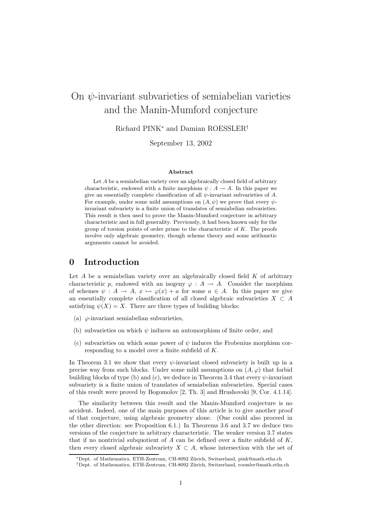# On  $\psi$ -invariant subvarieties of semiabelian varieties and the Manin-Mumford conjecture

Richard PINK<sup>∗</sup> and Damian ROESSLER†

September 13, 2002

#### Abstract

Let A be a semiabelian variety over an algebraically closed field of arbitrary characteristic, endowed with a finite morphism  $\psi : A \to A$ . In this paper we give an essentially complete classification of all  $\psi$ -invariant subvarieties of A. For example, under some mild assumptions on  $(A, \psi)$  we prove that every  $\psi$ invariant subvariety is a finite union of translates of semiabelian subvarieties. This result is then used to prove the Manin-Mumford conjecture in arbitrary characteristic and in full generality. Previously, it had been known only for the group of torsion points of order prime to the characteristic of  $K$ . The proofs involve only algebraic geometry, though scheme theory and some arithmetic arguments cannot be avoided.

### 0 Introduction

Let  $A$  be a semiabelian variety over an algebraically closed field  $K$  of arbitrary characteristic p, endowed with an isogeny  $\varphi : A \to A$ . Consider the morphism of schemes  $\psi : A \to A$ ,  $x \mapsto \varphi(x) + a$  for some  $a \in A$ . In this paper we give an essentially complete classification of all closed algebraic subvarieties  $X \subset A$ satisfying  $\psi(X) = X$ . There are three types of building blocks:

- (a)  $\varphi$ -invariant semiabelian subvarieties,
- (b) subvarieties on which  $\psi$  induces an automorphism of finite order, and
- (c) subvarieties on which some power of  $\psi$  induces the Frobenius morphism corresponding to a model over a finite subfield of K.

In Theorem 3.1 we show that every  $\psi$ -invariant closed subvariety is built up in a precise way from such blocks. Under some mild assumptions on  $(A, \varphi)$  that forbid building blocks of type (b) and (c), we deduce in Theorem 3.4 that every  $\psi$ -invariant subvariety is a finite union of translates of semiabelian subvarieties. Special cases of this result were proved by Bogomolov [2, Th. 3] and Hrushovski [9, Cor. 4.1.14].

The similarity between this result and the Manin-Mumford conjecture is no accident. Indeed, one of the main purposes of this article is to give another proof of that conjecture, using algebraic geometry alone. (One could also proceed in the other direction: see Proposition 6.1.) In Theorems 3.6 and 3.7 we deduce two versions of the conjecture in arbitrary characteristic. The weaker version 3.7 states that if no nontrivial subquotient of  $A$  can be defined over a finite subfield of  $K$ . then every closed algebraic subvariety  $X \subset A$ , whose intersection with the set of

<sup>∗</sup>Dept. of Mathematics, ETH-Zentrum, CH-8092 Z¨urich, Switzerland, pink@math.ethz.ch

<sup>†</sup>Dept. of Mathematics, ETH-Zentrum, CH-8092 Z¨urich, Switzerland, roessler@math.ethz.ch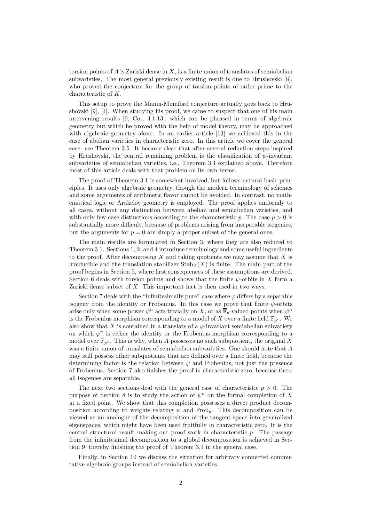torsion points of  $A$  is Zariski dense in  $X$ , is a finite union of translates of semiabelian subvarieties. The most general previously existing result is due to Hrushovski [8], who proved the conjecture for the group of torsion points of order prime to the characteristic of K.

This setup to prove the Manin-Mumford conjecture actually goes back to Hrushovski [9], [4]. When studying his proof, we came to suspect that one of his main intervening results [9, Cor. 4.1.13], which can be phrased in terms of algebraic geometry but which he proved with the help of model theory, may be approached with algebraic geometry alone. In an earlier article [13] we achieved this in the case of abelian varieties in characteristic zero. In this article we cover the general case: see Theorem 3.5. It became clear that after several reduction steps inspired by Hrushovski, the central remaining problem is the classification of  $\psi$ -invariant subvarieties of semiabelian varieties, i.e., Theorem 3.1 explained above. Therefore most of this article deals with that problem on its own terms.

The proof of Theorem 3.1 is somewhat involved, but follows natural basic principles. It uses only algebraic geometry, though the modern terminology of schemes and some arguments of arithmetic flavor cannot be avoided. In contrast, no mathematical logic or Arakelov geometry is employed. The proof applies uniformly to all cases, without any distinction between abelian and semiabelian varieties, and with only few case distinctions according to the characteristic p. The case  $p > 0$  is substantially more difficult, because of problems arising from inseparable isogenies, but the arguments for  $p = 0$  are simply a proper subset of the general ones.

The main results are formulated in Section 3, where they are also reduced to Theorem 3.1. Sections 1, 2, and 4 introduce terminology and some useful ingredients to the proof. After decomposing X and taking quotients we may assume that X is irreducible and the translation stabilizer  $\text{Stab}_A(X)$  is finite. The main part of the proof begins in Section 5, where first consequences of these assumptions are derived. Section 6 deals with torsion points and shows that the finite  $\psi$ -orbits in X form a Zariski dense subset of  $X$ . This important fact is then used in two ways.

Section 7 deals with the "infinitesimally pure" case where  $\varphi$  differs by a separable isogeny from the identity or Frobenius. In this case we prove that finite  $\psi$ -orbits arise only when some power  $\psi^n$  acts trivially on X, or as  $\overline{\mathbb{F}}_p$ -valued points when  $\psi^n$ is the Frobenius morphism corresponding to a model of X over a finite field  $\mathbb{F}_{p^r}$ . We also show that X is contained in a translate of a  $\varphi$ -invariant semiabelian subvariety on which  $\varphi^n$  is either the identity or the Frobenius morphism corresponding to a model over  $\mathbb{F}_{p^r}$ . This is why, when A possesses no such subquotient, the original X was a finite union of translates of semiabelian subvarieties. One should note that A may still possess other subquotients that are defined over a finite field, because the determining factor is the relation between  $\varphi$  and Frobenius, not just the presence of Frobenius. Section 7 also finishes the proof in characteristic zero, because there all isogenies are separable.

The next two sections deal with the general case of characteristic  $p > 0$ . The purpose of Section 8 is to study the action of  $\psi^n$  on the formal completion of X at a fixed point. We show that this completion possesses a direct product decomposition according to weights relating  $\psi$  and Frob<sub>p</sub>. This decomposition can be viewed as an analogue of the decomposition of the tangent space into generalized eigenspaces, which might have been used fruitfully in characteristic zero. It is the central structural result making our proof work in characteristic p. The passage from the infinitesimal decomposition to a global decomposition is achieved in Section 9, thereby finishing the proof of Theorem 3.1 in the general case.

Finally, in Section 10 we discuss the situation for arbitrary connected commutative algebraic groups instead of semiabelian varieties.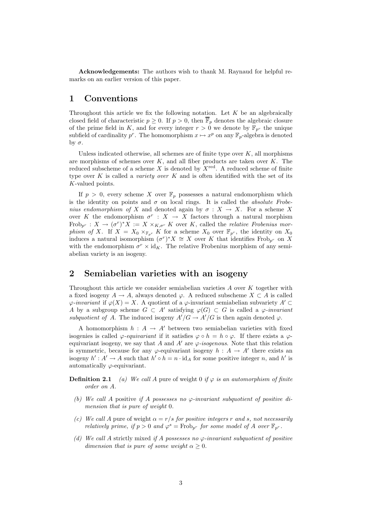Acknowledgements: The authors wish to thank M. Raynaud for helpful remarks on an earlier version of this paper.

### 1 Conventions

Throughout this article we fix the following notation. Let  $K$  be an algebraically closed field of characteristic  $p \geq 0$ . If  $p > 0$ , then  $\overline{\mathbb{F}}_p$  denotes the algebraic closure of the prime field in K, and for every integer  $r > 0$  we denote by  $\mathbb{F}_{p^r}$  the unique subfield of cardinality  $p^r$ . The homomorphism  $x \mapsto x^p$  on any  $\mathbb{F}_p$ -algebra is denoted by  $σ$ .

Unless indicated otherwise, all schemes are of finite type over  $K$ , all morphisms are morphisms of schemes over  $K$ , and all fiber products are taken over  $K$ . The reduced subscheme of a scheme X is denoted by  $X^{\text{red}}$ . A reduced scheme of finite type over  $K$  is called a *variety over*  $K$  and is often identified with the set of its K-valued points.

If  $p > 0$ , every scheme X over  $\mathbb{F}_p$  possesses a natural endomorphism which is the identity on points and  $\sigma$  on local rings. It is called the *absolute Frobe*nius endomorphism of X and denoted again by  $\sigma : X \to X$ . For a scheme X over K the endomorphism  $\sigma^r : X \to X$  factors through a natural morphism Frob<sub>p</sub>r :  $X \to (\sigma^r)^* X := X \times_{K, \sigma^r} K$  over K, called the *relative Frobenius mor*phism of X. If  $X = X_0 \times_{\mathbb{F}_{p^r}} K$  for a scheme  $X_0$  over  $\mathbb{F}_{p^r}$ , the identity on  $X_0$ induces a natural isomorphism  $(\sigma^r)^* X \cong X$  over K that identifies Frob<sub>p</sub>r on X with the endomorphism  $\sigma^r \times \mathrm{id}_K$ . The relative Frobenius morphism of any semiabelian variety is an isogeny.

# 2 Semiabelian varieties with an isogeny

Throughout this article we consider semiabelian varieties A over K together with a fixed isogeny  $A \to A$ , always denoted  $\varphi$ . A reduced subscheme  $X \subset A$  is called  $\varphi$ -invariant if  $\varphi(X) = X$ . A quotient of a  $\varphi$ -invariant semiabelian subvariety  $A' \subset$ A by a subgroup scheme  $G \subset A'$  satisfying  $\varphi(G) \subset G$  is called a  $\varphi$ -invariant subquotient of A. The induced isogeny  $A'/G \to A'/G$  is then again denoted  $\varphi$ .

A homomorphism  $h : A \to A'$  between two semiabelian varieties with fixed isogenies is called  $\varphi$ -equivariant if it satisfies  $\varphi \circ h = h \circ \varphi$ . If there exists a  $\varphi$ equivariant isogeny, we say that A and A' are  $\varphi$ -isogenous. Note that this relation is symmetric, because for any  $\varphi$ -equivariant isogeny  $h : A \to A'$  there exists an isogeny  $h' : A' \to A$  such that  $h' \circ h = n \cdot id_A$  for some positive integer n, and h' is automatically  $\varphi$ -equivariant.

**Definition 2.1** (a) We call A pure of weight 0 if  $\varphi$  is an automorphism of finite order on A.

- (b) We call A positive if A possesses no  $\varphi$ -invariant subquotient of positive dimension that is pure of weight 0.
- (c) We call A pure of weight  $\alpha = r/s$  for positive integers r and s, not necessarily relatively prime, if  $p > 0$  and  $\varphi^s = \text{Frob}_{p^r}$  for some model of A over  $\mathbb{F}_{p^r}$ .
- (d) We call A strictly mixed if A possesses no  $\varphi$ -invariant subquotient of positive dimension that is pure of some weight  $\alpha \geq 0$ .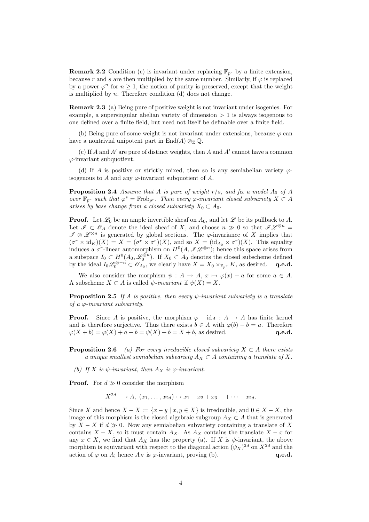**Remark 2.2** Condition (c) is invariant under replacing  $\mathbb{F}_{p^r}$  by a finite extension, because r and s are then multiplied by the same number. Similarly, if  $\varphi$  is replaced by a power  $\varphi^n$  for  $n \geq 1$ , the notion of purity is preserved, except that the weight is multiplied by  $n$ . Therefore condition (d) does not change.

Remark 2.3 (a) Being pure of positive weight is not invariant under isogenies. For example, a supersingular abelian variety of dimension  $> 1$  is always isogenous to one defined over a finite field, but need not itself be definable over a finite field.

(b) Being pure of some weight is not invariant under extensions, because  $\varphi$  can have a nontrivial unipotent part in End(A)  $\otimes_{\mathbb{Z}} \mathbb{Q}$ .

(c) If  $A$  and  $A'$  are pure of distinct weights, then  $A$  and  $A'$  cannot have a common  $\varphi$ -invariant subquotient.

(d) If A is positive or strictly mixed, then so is any semiabelian variety  $\varphi$ isogenous to A and any  $\varphi$ -invariant subquotient of A.

**Proposition 2.4** Assume that A is pure of weight  $r/s$ , and fix a model  $A_0$  of A over  $\mathbb{F}_{p^r}$  such that  $\varphi^s = \text{Frob}_{p^r}$ . Then every  $\varphi$ -invariant closed subvariety  $X \subset A$ arises by base change from a closed subvariety  $X_0 \subset A_0$ .

**Proof.** Let  $\mathscr{L}_0$  be an ample invertible sheaf on  $A_0$ , and let  $\mathscr{L}$  be its pullback to A. Let  $\mathscr{I} \subset \mathscr{O}_A$  denote the ideal sheaf of X, and choose  $n \gg 0$  so that  $\mathscr{IL}^{\otimes n}$  $\mathscr{I} \otimes \mathscr{L}^{\otimes n}$  is generated by global sections. The  $\varphi$ -invariance of X implies that  $(\sigma^r \times \mathrm{id}_K)(X) = X = (\sigma^r \times \sigma^r)(X)$ , and so  $X = (\mathrm{id}_{A_0} \times \sigma^r)(X)$ . This equality induces a  $\sigma^r$ -linear automorphism on  $H^0(A, \mathscr{IL}^{\otimes n})$ ; hence this space arises from a subspace  $I_0 \subset H^0(A_0, \mathscr{L}_0^{\otimes n})$ . If  $X_0 \subset A_0$  denotes the closed subscheme defined by the ideal  $I_0\mathscr{L}_0^{\otimes -n} \subset \mathscr{O}_{A_0}$ , we clearly have  $X = X_0 \times_{\mathbb{F}_{p^r}} K$ , as desired. q.e.d.

We also consider the morphism  $\psi : A \to A$ ,  $x \mapsto \varphi(x) + a$  for some  $a \in A$ . A subscheme  $X \subset A$  is called  $\psi$ -invariant if  $\psi(X) = X$ .

**Proposition 2.5** If A is positive, then every  $\psi$ -invariant subvariety is a translate of a  $\varphi$ -invariant subvariety.

**Proof.** Since A is positive, the morphism  $\varphi - id_A : A \to A$  has finite kernel and is therefore surjective. Thus there exists  $b \in A$  with  $\varphi(b) - b = a$ . Therefore  $\varphi(X + b) = \varphi(X) + a + b = \psi(X) + b = X + b$ , as desired. q.e.d.  $\varphi(X+b) = \varphi(X) + a + b = \psi(X) + b = X + b$ , as desired.

**Proposition 2.6** (a) For every irreducible closed subvariety  $X \subset A$  there exists a unique smallest semiabelian subvariety  $A_X \subset A$  containing a translate of X.

(b) If X is  $\psi$ -invariant, then  $A_X$  is  $\varphi$ -invariant.

**Proof.** For  $d \gg 0$  consider the morphism

$$
X^{2d} \longrightarrow A, (x_1,\ldots,x_{2d}) \mapsto x_1 - x_2 + x_3 - \cdots - x_{2d}.
$$

Since X and hence  $X - X := \{x - y \mid x, y \in X\}$  is irreducible, and  $0 \in X - X$ , the image of this morphism is the closed algebraic subgroup  $A_X \subset A$  that is generated by  $X - X$  if  $d \geq 0$ . Now any semiabelian subvariety containing a translate of X contains  $X - X$ , so it must contain  $A_X$ . As  $A_X$  contains the translate  $X - x$  for any  $x \in X$ , we find that  $A_X$  has the property (a). If X is  $\psi$ -invariant, the above morphism is equivariant with respect to the diagonal action  $(\psi_X)^{2d}$  on  $X^{2d}$  and the action of  $\varphi$  on A; hence  $A_X$  is  $\varphi$ -invariant, proving (b). **q.e.d.**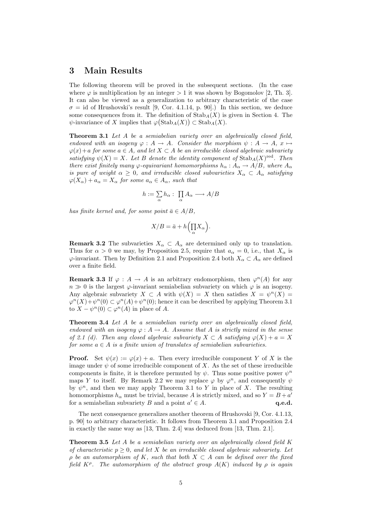# 3 Main Results

The following theorem will be proved in the subsequent sections. (In the case where  $\varphi$  is multiplication by an integer  $> 1$  it was shown by Bogomolov [2, Th. 3]. It can also be viewed as a generalization to arbitrary characteristic of the case  $\sigma = id$  of Hrushovski's result [9, Cor. 4.1.14, p. 90].) In this section, we deduce some consequences from it. The definition of  $\text{Stab}_A(X)$  is given in Section 4. The  $\psi$ -invariance of X implies that  $\varphi(\text{Stab}_A(X)) \subset \text{Stab}_A(X)$ .

Theorem 3.1 Let A be a semiabelian variety over an algebraically closed field, endowed with an isogeny  $\varphi : A \to A$ . Consider the morphism  $\psi : A \to A$ ,  $x \mapsto$  $\varphi(x)+a$  for some  $a \in A$ , and let  $X \subset A$  be an irreducible closed algebraic subvariety satisfying  $\psi(X) = X$ . Let B denote the identity component of  $\text{Stab}_A(X)^{\text{red}}$ . Then there exist finitely many  $\varphi$ -equivariant homomorphisms  $h_{\alpha}: A_{\alpha} \to A/B$ , where  $A_{\alpha}$ is pure of weight  $\alpha \geq 0$ , and irreducible closed subvarieties  $X_{\alpha} \subset A_{\alpha}$  satisfying  $\varphi(X_{\alpha}) + a_{\alpha} = X_{\alpha}$  for some  $a_{\alpha} \in A_{\alpha}$ , such that

$$
h := \sum_{\alpha} h_{\alpha} : \prod_{\alpha} A_{\alpha} \longrightarrow A/B
$$

has finite kernel and, for some point  $\bar{a} \in A/B$ ,

$$
X/B = \bar{a} + h\left(\prod_{\alpha} X_{\alpha}\right).
$$

**Remark 3.2** The subvarieties  $X_{\alpha} \subset A_{\alpha}$  are determined only up to translation. Thus for  $\alpha > 0$  we may, by Proposition 2.5, require that  $a_{\alpha} = 0$ , i.e., that  $X_{\alpha}$  is  $\varphi$ -invariant. Then by Definition 2.1 and Proposition 2.4 both  $X_\alpha \subset A_\alpha$  are defined over a finite field.

**Remark 3.3** If  $\varphi : A \to A$  is an arbitrary endomorphism, then  $\varphi^{n}(A)$  for any  $n \gg 0$  is the largest  $\varphi$ -invariant semiabelian subvariety on which  $\varphi$  is an isogeny. Any algebraic subvariety  $X \subset A$  with  $\psi(X) = X$  then satisfies  $X = \psi^n(X) =$  $\varphi^{n}(X) + \psi^{n}(0) \subset \varphi^{n}(A) + \psi^{n}(0)$ ; hence it can be described by applying Theorem 3.1 to  $X - \psi^n(0) \subset \varphi^n(A)$  in place of A.

Theorem 3.4 Let A be a semiabelian variety over an algebraically closed field, endowed with an isogeny  $\varphi: A \to A$ . Assume that A is strictly mixed in the sense of 2.1 (d). Then any closed algebraic subvariety  $X \subset A$  satisfying  $\varphi(X) + a = X$ for some  $a \in A$  is a finite union of translates of semiabelian subvarieties.

**Proof.** Set  $\psi(x) := \varphi(x) + a$ . Then every irreducible component Y of X is the image under  $\psi$  of some irreducible component of X. As the set of these irreducible components is finite, it is therefore permuted by  $\psi$ . Thus some positive power  $\psi^n$ maps Y to itself. By Remark 2.2 we may replace  $\varphi$  by  $\varphi^n$ , and consequently  $\psi$ by  $\psi^n$ , and then we may apply Theorem 3.1 to Y in place of X. The resulting homomorphisms  $h_{\alpha}$  must be trivial, because A is strictly mixed, and so  $Y = B + a'$ for a semiabelian subvariety B and a point  $a' \in A$ .  $q.e.d.$ 

The next consequence generalizes another theorem of Hrushovski [9, Cor. 4.1.13, p. 90] to arbitrary characteristic. It follows from Theorem 3.1 and Proposition 2.4 in exactly the same way as [13, Thm. 2.4] was deduced from [13, Thm. 2.1].

**Theorem 3.5** Let A be a semiabelian variety over an algebraically closed field K of characteristic  $p \geq 0$ , and let X be an irreducible closed algebraic subvariety. Let  $\rho$  be an automorphism of K, such that both  $X \subset A$  can be defined over the fixed field  $K^{\rho}$ . The automorphism of the abstract group  $A(K)$  induced by  $\rho$  is again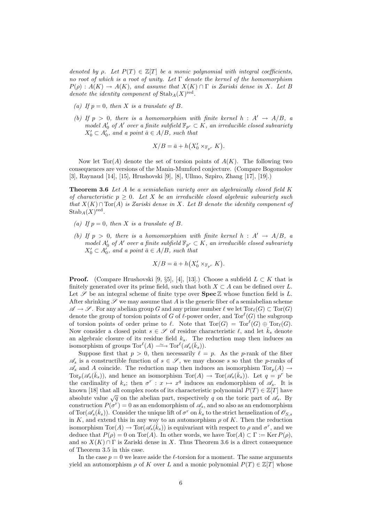denoted by  $\rho$ . Let  $P(T) \in \mathbb{Z}[T]$  be a monic polynomial with integral coefficients, no root of which is a root of unity. Let  $\Gamma$  denote the kernel of the homomorphism  $P(\rho) : A(K) \to A(K)$ , and assume that  $X(K) \cap \Gamma$  is Zariski dense in X. Let B denote the identity component of  $\operatorname{Stab}_A(X)^{\text{red}}$ .

- (a) If  $p = 0$ , then X is a translate of B.
- (b) If  $p > 0$ , there is a homomorphism with finite kernel  $h : A' \rightarrow A/B$ , a model  $A'_0$  of  $A'$  over a finite subfield  $\mathbb{F}_{p^r} \subset K$ , an irreducible closed subvariety  $X'_0 \subset A'_0$ , and a point  $\bar{a} \in A/B$ , such that

$$
X/B = \bar{a} + h(X_0' \times_{\mathbb{F}_{p^r}} K).
$$

Now let Tor(A) denote the set of torsion points of  $A(K)$ . The following two consequences are versions of the Manin-Mumford conjecture. (Compare Bogomolov [3], Raynaud [14], [15], Hrushovski [9], [8], Ullmo, Szpiro, Zhang [17], [19].)

**Theorem 3.6** Let A be a semiabelian variety over an algebraically closed field  $K$ of characteristic  $p \geq 0$ . Let X be an irreducible closed algebraic subvariety such that  $X(K) \cap \text{Tor}(A)$  is Zariski dense in X. Let B denote the identity component of  $\mathrm{Stab}_A(X)^\mathrm{red}.$ 

- (a) If  $p = 0$ , then X is a translate of B.
- (b) If  $p > 0$ , there is a homomorphism with finite kernel  $h : A' \rightarrow A/B$ , a model  $A'_0$  of  $A'$  over a finite subfield  $\mathbb{F}_{p^r} \subset K$ , an irreducible closed subvariety  $X'_0 \subset A'_0$ , and a point  $\bar{a} \in A/B$ , such that

$$
X/B = \bar{a} + h(X_0' \times_{\mathbb{F}_{p^r}} K).
$$

**Proof.** (Compare Hrushovski [9, §5], [4], [13].) Choose a subfield  $L \subset K$  that is finitely generated over its prime field, such that both  $X \subset A$  can be defined over L. Let  $\mathscr S$  be an integral scheme of finite type over  $\text{Spec } \mathbb Z$  whose function field is L. After shrinking  $\mathscr S$  we may assume that A is the generic fiber of a semiabelian scheme  $\mathscr{A} \to \mathscr{S}$ . For any abelian group G and any prime number  $\ell$  we let  $Tor_{\ell}(G) \subset Tor(G)$ denote the group of torsion points of G of  $\ell$ -power order, and Tor $^{\ell}(G)$  the subgroup of torsion points of order prime to  $\ell$ . Note that  $Tor(G) = Tor^{\ell}(G) \oplus Tor_{\ell}(G)$ . Now consider a closed point  $s \in \mathscr{S}$  of residue characteristic  $\ell$ , and let  $\bar{k}_s$  denote an algebraic closure of its residue field  $k_s$ . The reduction map then induces an isomorphism of groups  $\text{Tor}^{\ell}(A) \longrightarrow \text{Tor}^{\ell}(\mathscr{A}_s(\bar{k}_s)).$ 

Suppose first that  $p > 0$ , then necessarily  $\ell = p$ . As the p-rank of the fiber  $\mathscr{A}_s$  is a constructible function of  $s \in \mathscr{S}$ , we may choose s so that the p-ranks of  $\mathscr{A}_s$  and A coincide. The reduction map then induces an isomorphism  $Tor_p(A) \to$  $Tor_p(\mathscr{A}_{s}(\bar{k}_s))$ , and hence an isomorphism  $Tor(A) \to Tor(\mathscr{A}_{s}(\bar{k}_s))$ . Let  $q = p^r$  be the cardinality of  $k_s$ ; then  $\sigma^r$ :  $x \mapsto x^q$  induces an endomorphism of  $\mathscr{A}_s$ . It is known [18] that all complex roots of its characteristic polynomial  $P(T) \in \mathbb{Z}[T]$  have absolute value  $\sqrt{q}$  on the abelian part, respectively q on the toric part of  $\mathscr{A}_s$ . By construction  $P(\sigma^r) = 0$  as an endomorphism of  $\mathscr{A}_s$ , and so also as an endomorphism of Tor $(\mathscr{A}_s(\bar{k}_s))$ . Consider the unique lift of  $\sigma^r$  on  $\bar{k}_s$  to the strict henselization of  $\mathscr{O}_{S,s}$ in K, and extend this in any way to an automorphism  $\rho$  of K. Then the reduction isomorphism  $Tor(A) \to Tor(\mathscr{A}_{s}(\overline{k}_{s}))$  is equivariant with respect to  $\rho$  and  $\sigma^{r}$ , and we deduce that  $P(\rho) = 0$  on Tor(A). In other words, we have Tor(A)  $\subset \Gamma := \text{Ker } P(\rho)$ , and so  $X(K) \cap \Gamma$  is Zariski dense in X. Thus Theorem 3.6 is a direct consequence of Theorem 3.5 in this case.

In the case  $p = 0$  we leave aside the  $\ell$ -torsion for a moment. The same arguments yield an automorphism  $\rho$  of K over L and a monic polynomial  $P(T) \in \mathbb{Z}[T]$  whose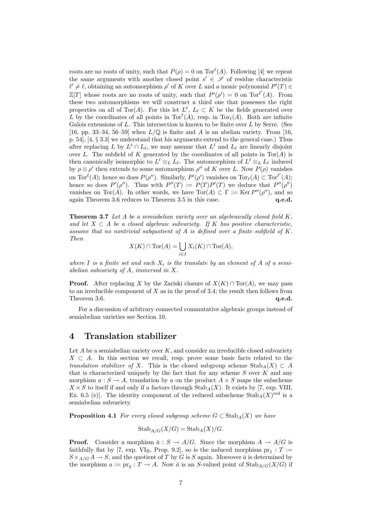roots are no roots of unity, such that  $P(\rho) = 0$  on  $Tor^{\ell}(A)$ . Following [4] we repeat the same arguments with another closed point  $s' \in \mathscr{S}$  of residue characteristic  $\ell' \neq \ell$ , obtaining an automorphism  $\rho'$  of K over L and a monic polynomial  $P'(T) \in$  $\mathbb{Z}[T]$  whose roots are no roots of unity, such that  $P'(\rho') = 0$  on  $\text{Tor}^{\ell'}(A)$ . From these two automorphisms we will construct a third one that possesses the right properties on all of Tor(A). For this let  $L^{\ell}$ ,  $L_{\ell} \subset K$  be the fields generated over L by the coordinates of all points in  $Tor^{\ell}(A)$ , resp. in  $Tor_{\ell}(A)$ . Both are infinite Galois extensions of  $L$ . This intersection is known to be finite over  $L$  by Serre. (See [16, pp. 33–34, 56–59] when  $L/\mathbb{Q}$  is finite and A is an abelian variety. From [16, p. 54], [4, § 3.3] we understand that his arguments extend to the general case.) Thus after replacing L by  $L^{\ell} \cap L_{\ell}$ , we may assume that  $L^{\ell}$  and  $L_{\ell}$  are linearly disjoint over L. The subfield of K generated by the coordinates of all points in  $Tor(A)$  is then canonically isomorphic to  $L^{\ell} \otimes_L L_{\ell}$ . The automorphism of  $L^{\ell} \otimes_L L_{\ell}$  induced by  $\rho \otimes \rho'$  then extends to some automorphism  $\rho''$  of K over L. Now  $P(\rho)$  vanishes on Tor<sup> $\ell(A)$ </sup>; hence so does  $P(\rho'')$ . Similarly,  $P'(\rho')$  vanishes on Tor $\ell(A) \subset \text{Tor}^{\ell'}(A)$ ; hence so does  $P'(\rho'')$ . Thus with  $P''(T) := P(T)P'(T)$  we deduce that  $P''(\rho'')$ vanishes on Tor(A). In other words, we have  $Tor(A) \subset \Gamma := \text{Ker } P''(\rho'')$ , and so again Theorem 3.6 reduces to Theorem 3.5 in this case. q.e.d.

**Theorem 3.7** Let A be a semiabelian variety over an algebraically closed field  $K$ , and let  $X \subset A$  be a closed algebraic subvariety. If K has positive characteristic, assume that no nontrivial subquotient of  $A$  is defined over a finite subfield of  $K$ . Then

$$
X(K) \cap \text{Tor}(A) = \bigcup_{i \in I} X_i(K) \cap \text{Tor}(A),
$$

where I is a finite set and each  $X_i$  is the translate by an element of A of a semiabelian subvariety of A, immersed in X.

**Proof.** After replacing X by the Zariski closure of  $X(K) \cap \text{Tor}(A)$ , we may pass to an irreducible component of  $X$  as in the proof of 3.4; the result then follows from Theorem 3.6. q.e.d.

For a discussion of arbitrary connected commutative algebraic groups instead of semiabelian varieties see Section 10.

### 4 Translation stabilizer

Let  $A$  be a semiabelian variety over  $K$ , and consider an irreducible closed subvariety  $X \subset A$ . In this section we recall, resp. prove some basic facts related to the translation stabilizer of X. This is the closed subgroup scheme  $\text{Stab}_A(X) \subset A$ that is characterized uniquely by the fact that for any scheme  $S$  over  $K$  and any morphism  $a: S \to A$ , translation by a on the product  $A \times S$  maps the subscheme  $X \times S$  to itself if and only if a factors through  $\text{Stab}_A(X)$ . It exists by [7, exp. VIII, Ex. 6.5 (e)]. The identity component of the reduced subscheme  $\operatorname{Stab}_A(X)^{\text{red}}$  is a semiabelian subvariety.

**Proposition 4.1** For every closed subgroup scheme  $G \subset \text{Stab}_A(X)$  we have

$$
\operatorname{Stab}_{A/G}(X/G) = \operatorname{Stab}_A(X)/G.
$$

**Proof.** Consider a morphism  $\bar{a}: S \to A/G$ . Since the morphism  $A \to A/G$  is faithfully flat by [7, exp. VI<sub>B</sub>, Prop. 9.2], so is the induced morphism  $pr_1 : T :=$  $S \times_{A/G} A \rightarrow S$ , and the quotient of T by G is S again. Moreover  $\bar{a}$  is determined by the morphism  $a := \text{pr}_2 : T \to A$ . Now  $\bar{a}$  is an S-valued point of  $\text{Stab}_{A/G}(X/G)$  if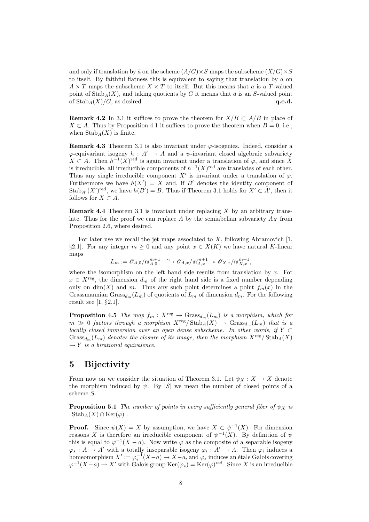and only if translation by  $\bar{a}$  on the scheme  $(A/G) \times S$  maps the subscheme  $(X/G) \times S$ to itself. By faithful flatness this is equivalent to saying that translation by a on  $A \times T$  maps the subscheme  $X \times T$  to itself. But this means that a is a T-valued point of Stab<sub>A</sub>(X), and taking quotients by G it means that  $\bar{a}$  is an S-valued point of  $\text{Stab}_A(X)/G$ , as desired. q.e.d.

**Remark 4.2** In 3.1 it suffices to prove the theorem for  $X/B \subset A/B$  in place of  $X \subset A$ . Thus by Proposition 4.1 it suffices to prove the theorem when  $B = 0$ , i.e., when  $\mathrm{Stab}_A(X)$  is finite.

**Remark 4.3** Theorem 3.1 is also invariant under  $\varphi$ -isogenies. Indeed, consider a  $\varphi$ -equivariant isogeny  $h : A' \to A$  and a  $\psi$ -invariant closed algebraic subvariety  $X \text{ ⊂ } A$ . Then  $h^{-1}(X)$ <sup>red</sup> is again invariant under a translation of  $\varphi$ , and since X is irreducible, all irreducible components of  $h^{-1}(X)$ <sup>red</sup> are translates of each other. Thus any single irreducible component X' is invariant under a translation of  $\varphi$ . Furthermore we have  $h(X') = X$  and, if B' denotes the identity component of  $\operatorname{Stab}_{A'}(X')^{\text{red}}$ , we have  $h(B') = B$ . Thus if Theorem 3.1 holds for  $X' \subset A'$ , then it follows for  $X \subset A$ .

**Remark 4.4** Theorem 3.1 is invariant under replacing  $X$  by an arbitrary translate. Thus for the proof we can replace A by the semiabelian subvariety  $A_X$  from Proposition 2.6, where desired.

For later use we recall the jet maps associated to  $X$ , following Abramovich [1, §2.1]. For any integer  $m \geq 0$  and any point  $x \in X(K)$  we have natural K-linear maps

$$
L_m:=\mathscr{O}_{A,0}/\mathfrak{m}_{A,0}^{m+1}\stackrel{\sim}{\longrightarrow}\mathscr{O}_{A,x}/\mathfrak{m}_{A,x}^{m+1}\twoheadrightarrow\mathscr{O}_{X,x}/\mathfrak{m}_{X,x}^{m+1},
$$

where the isomorphism on the left hand side results from translation by  $x$ . For  $x \in X^{\text{reg}}$ , the dimension  $d_m$  of the right hand side is a fixed number depending only on dim(X) and m. Thus any such point determines a point  $f_m(x)$  in the Grassmannian  $Grass_{d_m}(L_m)$  of quotients of  $L_m$  of dimension  $d_m$ . For the following result see  $[1, §2.1]$ .

**Proposition 4.5** The map  $f_m : X^{\text{reg}} \to \text{Grass}_{d_m}(L_m)$  is a morphism, which for  $m \gg 0$  factors through a morphism  $X^{\text{reg}}/\text{Stab}_A(X) \to \text{Grass}_{d_m}(L_m)$  that is a locally closed immersion over an open dense subscheme. In other words, if  $Y \subset$ Grass<sub>dm</sub>(L<sub>m</sub>) denotes the closure of its image, then the morphism  $X^{\text{reg}}$ /Stab<sub>A</sub>(X)  $\rightarrow$  Y is a birational equivalence.

### 5 Bijectivity

From now on we consider the situation of Theorem 3.1. Let  $\psi_X : X \to X$  denote the morphism induced by  $\psi$ . By |S| we mean the number of closed points of a scheme S.

**Proposition 5.1** The number of points in every sufficiently general fiber of  $\psi_X$  is  $|\operatorname{Stab}_A(X) \cap \operatorname{Ker}(\varphi)|.$ 

**Proof.** Since  $\psi(X) = X$  by assumption, we have  $X \subset \psi^{-1}(X)$ . For dimension reasons X is therefore an irreducible component of  $\psi^{-1}(X)$ . By definition of  $\psi$ this is equal to  $\varphi^{-1}(X - a)$ . Now write  $\varphi$  as the composite of a separable isogeny  $\varphi_s : A \to A'$  with a totally inseparable isogeny  $\varphi_i : A' \to A$ . Then  $\varphi_i$  induces a homeomorphism  $X' := \varphi_i^{-1}(X - a) \to X - a$ , and  $\varphi_s$  induces an étale Galois covering  $\varphi^{-1}(X-a) \to X'$  with Galois group  $\text{Ker}(\varphi_s) = \text{Ker}(\varphi)^\text{red}$ . Since X is an irreducible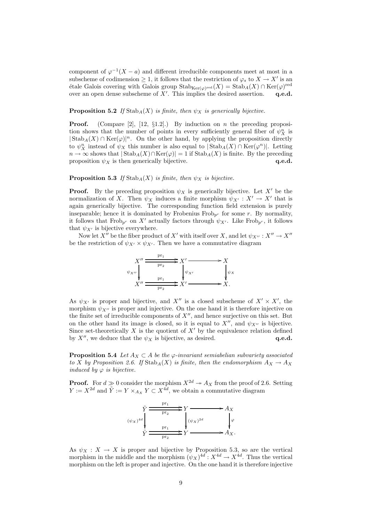component of  $\varphi^{-1}(X - a)$  and different irreducible components meet at most in a subscheme of codimension  $\geq 1$ , it follows that the restriction of  $\varphi_s$  to  $X \to X'$  is an étale Galois covering with Galois group  $\mathrm{Stab}_{\mathrm{Ker}(\varphi)^\mathrm{red}}(X) = \mathrm{Stab}_A(X) \cap \mathrm{Ker}(\varphi)^\mathrm{red}$ over an open dense subscheme of  $X'$ . This implies the desired assertion.  $\mathbf{q.e.d.}$ 

#### **Proposition 5.2** If  $\text{Stab}_A(X)$  is finite, then  $\psi_X$  is generically bijective.

**Proof.** (Compare [2], [12,  $\S1.2$ ].) By induction on *n* the preceding proposition shows that the number of points in every sufficiently general fiber of  $\psi_X^n$  is  $|\operatorname{Stab}_A(X) \cap \operatorname{Ker}(\varphi)|^n$ . On the other hand, by applying the proposition directly to  $\psi_X^n$  instead of  $\psi_X$  this number is also equal to  $|\text{Stab}_A(X) \cap \text{Ker}(\varphi^n)|$ . Letting  $n \to \infty$  shows that  $|\text{Stab}_A(X) \cap \text{Ker}(\varphi)| = 1$  if  $\text{Stab}_A(X)$  is finite. By the preceding proposition  $\psi_X$  is then generically bijective. proposition  $\psi_X$  is then generically bijective.

#### **Proposition 5.3** If  $\text{Stab}_A(X)$  is finite, then  $\psi_X$  is bijective.

**Proof.** By the preceding proposition  $\psi_X$  is generically bijective. Let X' be the normalization of X. Then  $\psi_X$  induces a finite morphism  $\psi_{X'} : X' \to X'$  that is again generically bijective. The corresponding function field extension is purely inseparable; hence it is dominated by Frobenius  $Frob_{p^r}$  for some r. By normality, it follows that Frob<sub>p</sub><sup>r</sup> on X' actually factors through  $\psi_{X'}$ . Like Frob<sub>p</sub><sup>r</sup>, it follows that  $\psi_{X'}$  is bijective everywhere.

Now let X<sup>n</sup> be the fiber product of X<sup>'</sup> with itself over X, and let  $\psi_{X''}: X'' \to X''$ be the restriction of  $\psi_{X'} \times \psi_{X'}$ . Then we have a commutative diagram



As  $\psi_{X'}$  is proper and bijective, and X'' is a closed subscheme of  $X' \times X'$ , the morphism  $\psi_{X''}$  is proper and injective. On the one hand it is therefore injective on the finite set of irreducible components of  $X''$ , and hence surjective on this set. But on the other hand its image is closed, so it is equal to  $X''$ , and  $\psi_{X''}$  is bijective. Since set-theoretically X is the quotient of  $X'$  by the equivalence relation defined by  $X''$ , we deduce that the  $\psi_X$  is bijective, as desired.  $\mathbf{q.e.d.}$ 

**Proposition 5.4** Let  $A_X \subset A$  be the  $\varphi$ -invariant semiabelian subvariety associated to X by Proposition 2.6. If  $\text{Stab}_A(X)$  is finite, then the endomorphism  $A_X \to A_X$ induced by  $\varphi$  is bijective.

**Proof.** For  $d \gg 0$  consider the morphism  $X^{2d} \rightarrow A_X$  from the proof of 2.6. Setting  $Y := X^{2d}$  and  $\tilde{Y} := Y \times_{A_X} Y \subset X^{4d}$ , we obtain a commutative diagram



As  $\psi_X : X \to X$  is proper and bijective by Proposition 5.3, so are the vertical morphism in the middle and the morphism  $(\psi_X)^{4d} : X^{4d} \to X^{4d}$ . Thus the vertical morphism on the left is proper and injective. On the one hand it is therefore injective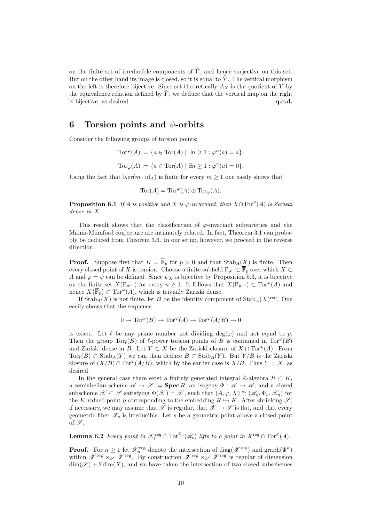on the finite set of irreducible components of  $\tilde{Y}$ , and hence surjective on this set. But on the other hand its image is closed, so it is equal to  $\tilde{Y}$ . The vertical morphism on the left is therefore bijective. Since set-theoretically  $A_X$  is the quotient of Y by the equivalence relation defined by  $\tilde{Y}$ , we deduce that the vertical map on the right is bijective, as desired.  $q.e.d.$ 

## 6 Torsion points and  $\psi$ -orbits

Consider the following groups of torsion points:

Tor $\mathcal{P}(A) := \{a \in \text{Tor}(A) \mid \exists n \geq 1 : \varphi^n(a) = a\},\$ Tor $\varphi(A) := \{ a \in \text{Tor}(A) \mid \exists n \ge 1 : \varphi^n(a) = 0 \}.$ 

Using the fact that  $\text{Ker}(m \cdot \text{id}_A)$  is finite for every  $m \geq 1$  one easily shows that

$$
\mathrm{Tor}(A)=\mathrm{Tor}^\varphi(A)\oplus\mathrm{Tor}_\varphi(A).
$$

**Proposition 6.1** If A is positive and X is  $\varphi$ -invariant, then  $X \cap \text{Tor}^{\varphi}(A)$  is Zariski dense in X.

This result shows that the classification of  $\varphi$ -invariant subvarieties and the Manin-Mumford conjecture are intimately related. In fact, Theorem 3.1 can probably be deduced from Theorem 3.6. In our setup, however, we proceed in the reverse direction.

**Proof.** Suppose first that  $K = \overline{\mathbb{F}}_p$  for  $p > 0$  and that  $\text{Stab}_A(X)$  is finite. Then every closed point of X is torsion. Choose a finite subfield  $\mathbb{F}_{p^r} \subset \overline{\mathbb{F}}_p$  over which  $X \subset$ A and  $\varphi = \psi$  can be defined. Since  $\psi_X$  is bijective by Proposition 5.3, it is bijective on the finite set  $X(\mathbb{F}_{p^{rn}})$  for every  $n \geq 1$ . It follows that  $X(\mathbb{F}_{p^{rn}}) \subset \text{Tor}^{\varphi}(A)$  and hence  $X(\overline{\mathbb{F}}_p) \subset \text{Tor}^{\varphi}(A)$ , which is trivially Zariski dense.

If  $\operatorname{Stab}_A(X)$  is not finite, let B be the identity component of  $\operatorname{Stab}_A(X)^{\operatorname{red}}$ . One easily shows that the sequence

$$
0\to \operatorname{Tor}^\varphi(B)\to \operatorname{Tor}^\varphi(A)\to \operatorname{Tor}^\varphi(A/B)\to 0
$$

is exact. Let  $\ell$  be any prime number not dividing  $deg(\varphi)$  and not equal to p. Then the group  $Tor_{\ell}(B)$  of  $\ell$ -power torsion points of B is contained in  $Tor^{\varphi}(B)$ and Zariski dense in B. Let  $Y \subset X$  be the Zariski closure of  $X \cap \text{Tor}^{\varphi}(A)$ . From  $Tor_{\ell}(B) \subset \text{Stab}_{A}(Y)$  we can then deduce  $B \subset \text{Stab}_{A}(Y)$ . But  $Y/B$  is the Zariski closure of  $(X/B) \cap \text{Tor}^{\varphi}(A/B)$ , which by the earlier case is  $X/B$ . Thus  $Y = X$ , as desired.

In the general case there exist a finitely generated integral  $\mathbb{Z}$ -algebra  $R \subset K$ , a semiabelian scheme  $\mathscr{A} \to \mathscr{S} := \textbf{Spec } R$ , an isogeny  $\Phi : \mathscr{A} \to \mathscr{A}$ , and a closed subscheme  $\mathscr{X} \subset \mathscr{S}$  satisfying  $\Phi(\mathscr{X}) = \mathscr{X}$ , such that  $(A, \varphi, X) \cong (\mathscr{A}_\eta, \Phi_\eta, \mathscr{X}_\eta)$  for the K-valued point  $\eta$  corresponding to the embedding  $R \hookrightarrow K$ . After shrinking  $\mathscr{S}$ , if necessary, we may assume that  $\mathscr S$  is regular, that  $\mathscr X \to \mathscr S$  is flat, and that every geometric fiber  $\mathscr{X}_s$  is irreducible. Let s be a geometric point above a closed point of  $\mathscr{S}$ .

**Lemma 6.2** Every point in  $\mathscr{X}_s^{\text{reg}} \cap \text{Tor}^{\Phi_s}(\mathscr{A}_s)$  lifts to a point in  $X^{\text{reg}} \cap \text{Tor}^{\varphi}(A)$ .

**Proof.** For  $n \geq 1$  let  $\mathscr{X}_n^{\text{reg}}$  denote the intersection of diag( $\mathscr{X}^{\text{reg}}$ ) and graph( $\Phi^n$ ) within  $\mathscr{X}^{\text{reg}} \times_{\mathscr{S}} \mathscr{X}^{\text{reg}}$ . By construction  $\mathscr{X}^{\text{reg}} \times_{\mathscr{S}} \mathscr{X}^{\text{reg}}$  is regular of dimension  $\dim(\mathscr{S}) + 2 \dim(X)$ , and we have taken the intersection of two closed subschemes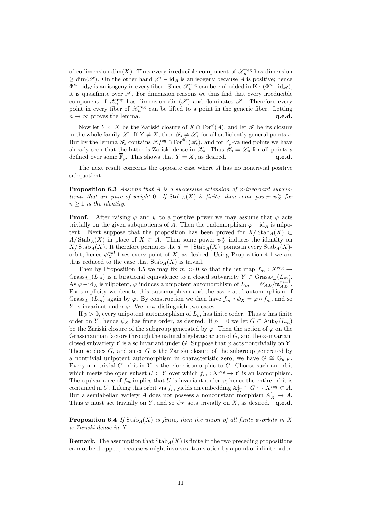of codimension  $\dim(X)$ . Thus every irreducible component of  $\mathscr{X}_n^{\text{reg}}$  has dimension  $\geq \dim(\mathscr{S})$ . On the other hand  $\varphi^n - id_A$  is an isogeny because A is positive; hence  $\Phi^{n}-\mathrm{id}_{\mathscr{A}}$  is an isogeny in every fiber. Since  $\mathscr{X}_{n}^{\text{reg}}$  can be embedded in  $\mathrm{Ker}(\Phi^{n}-\mathrm{id}_{\mathscr{A}})$ , it is quasifinite over  $\mathscr{S}$ . For dimension reasons we thus find that every irreducible component of  $\mathscr{X}_n^{\text{reg}}$  has dimension  $\dim(\mathscr{S})$  and dominates  $\mathscr{S}$ . Therefore every point in every fiber of  $\mathscr{X}_n^{\text{reg}}$  can be lifted to a point in the generic fiber. Letting  $n \to \infty$  proves the lemma.  $q.e.d.$ 

Now let  $Y \subset X$  be the Zariski closure of  $X \cap \text{Tor}^{\varphi}(A)$ , and let  $\mathscr Y$  be its closure in the whole family X. If  $Y \neq X$ , then  $\mathscr{Y}_s \neq \mathscr{X}_s$  for all sufficiently general points s. But by the lemma  $\mathscr{Y}_s$  contains  $\mathscr{X}_s^{\text{reg}} \cap \text{Tor}^{\Phi_s}(\mathscr{A}_s)$ , and for  $\overline{\mathbb{F}}_p$ -valued points we have already seen that the latter is Zariski dense in  $\mathscr{X}_s$ . Thus  $\mathscr{Y}_s = \mathscr{X}_s$  for all points s defined over some  $\overline{\mathbb{F}}_p$ . This shows that  $Y = X$ , as desired. q.e.d.

The next result concerns the opposite case where A has no nontrivial positive subquotient.

**Proposition 6.3** Assume that A is a successive extension of  $\varphi$ -invariant subquotients that are pure of weight 0. If  $\text{Stab}_A(X)$  is finite, then some power  $\psi_X^n$  for  $n \geq 1$  is the identity.

**Proof.** After raising  $\varphi$  and  $\psi$  to a positive power we may assume that  $\varphi$  acts trivially on the given subquotients of A. Then the endomorphism  $\varphi - id_A$  is nilpotent. Next suppose that the proposition has been proved for  $X/\text{Stab}_A(X) \subset$  $A/\operatorname{Stab}_A(X)$  in place of  $X \subset A$ . Then some power  $\psi_X^n$  induces the identity on  $X/\operatorname{Stab}_A(X)$ . It therefore permutes the  $d := |\operatorname{Stab}_A(X)|$  points in every  $\operatorname{Stab}_A(X)$ orbit; hence  $\psi_X^{nd!}$  fixes every point of X, as desired. Using Proposition 4.1 we are thus reduced to the case that  $\text{Stab}_A(X)$  is trivial.

Then by Proposition 4.5 we may fix  $m \gg 0$  so that the jet map  $f_m : X^{\text{reg}} \to$ Grass $_{d_m}(L_m)$  is a birational equivalence to a closed subvariety  $Y \subset \text{Grass}_{d_m}(L_m)$ . As  $\varphi - id_A$  is nilpotent,  $\varphi$  induces a unipotent automorphism of  $L_m := \mathcal{O}_{A,0}/\mathfrak{m}_{A,0}^{m+1}$ . For simplicity we denote this automorphism and the associated automorphism of Grass $_{d_m}(L_m)$  again by  $\varphi$ . By construction we then have  $f_m \circ \psi_X = \varphi \circ f_m$ , and so Y is invariant under  $\varphi$ . We now distinguish two cases.

If  $p > 0$ , every unipotent automorphism of  $L_m$  has finite order. Thus  $\varphi$  has finite order on Y; hence  $\psi_X$  has finite order, as desired. If  $p = 0$  we let  $G \subset Aut_K(L_m)$ be the Zariski closure of the subgroup generated by  $\varphi$ . Then the action of  $\varphi$  on the Grassmannian factors through the natural algebraic action of  $G$ , and the  $\varphi$ -invariant closed subvariety Y is also invariant under G. Suppose that  $\varphi$  acts nontrivially on Y. Then so does  $G$ , and since  $G$  is the Zariski closure of the subgroup generated by a nontrivial unipotent automorphism in characteristic zero, we have  $G \cong \mathbb{G}_{a,K}$ . Every non-trivial  $G$ -orbit in  $Y$  is therefore isomorphic to  $G$ . Choose such an orbit which meets the open subset  $U \subset Y$  over which  $f_m : X^{\text{reg}} \to Y$  is an isomorphism. The equivariance of  $f_m$  implies that U is invariant under  $\varphi$ ; hence the entire orbit is contained in U. Lifting this orbit via  $f_m$  yields an embedding  $\mathbb{A}_K^1 \cong G \hookrightarrow X^{\text{reg}} \subset A$ . But a semiabelian variety A does not possess a nonconstant morphism  $\mathbb{A}_{K}^{1} \to A$ . Thus  $\varphi$  must act trivially on Y, and so  $\psi_X$  acts trivially on X, as desired. q.e.d.

**Proposition 6.4** If Stab<sub>A</sub>(X) is finite, then the union of all finite  $\psi$ -orbits in X is Zariski dense in X.

**Remark.** The assumption that  $\text{Stab}_A(X)$  is finite in the two preceding propositions cannot be dropped, because  $\psi$  might involve a translation by a point of infinite order.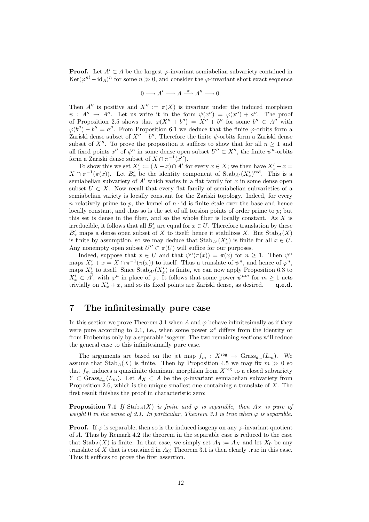**Proof.** Let  $A' \subset A$  be the largest  $\varphi$ -invariant semiabelian subvariety contained in  $\text{Ker}(\varphi^{n!} - \text{id}_A)^n$  for some  $n \gg 0$ , and consider the  $\varphi$ -invariant short exact sequence

$$
0 \longrightarrow A' \longrightarrow A \stackrel{\pi}{\longrightarrow} A'' \longrightarrow 0.
$$

Then A<sup> $\prime\prime$ </sup> is positive and  $X^{\prime\prime} := \pi(X)$  is invariant under the induced morphism  $\psi : A'' \to A''$ . Let us write it in the form  $\psi(x'') = \varphi(x'') + a''$ . The proof of Proposition 2.5 shows that  $\varphi(X'' + b'') = X'' + b''$  for some  $b'' \in A''$  with  $\varphi(b'') - b'' = a''$ . From Proposition 6.1 we deduce that the finite  $\varphi$ -orbits form a Zariski dense subset of  $X'' + b''$ . Therefore the finite  $\psi$ -orbits form a Zariski dense subset of X''. To prove the proposition it suffices to show that for all  $n \geq 1$  and all fixed points  $x''$  of  $\psi^n$  in some dense open subset  $U'' \subset X''$ , the finite  $\psi^n$ -orbits form a Zariski dense subset of  $X \cap \pi^{-1}(x'')$ .

To show this we set  $X'_x := (X-x) \cap A'$  for every  $x \in X$ ; we then have  $X'_x + x =$  $X \cap \pi^{-1}(\pi(x))$ . Let  $B'_x$  be the identity component of  $\text{Stab}_{A'}(X'_x)^{\text{red}}$ . This is a semiabelian subvariety of  $A'$  which varies in a flat family for x in some dense open subset  $U \subset X$ . Now recall that every flat family of semiabelian subvarieties of a semiabelian variety is locally constant for the Zariski topology. Indeed, for every n relatively prime to p, the kernel of  $n \cdot$  id is finite étale over the base and hence locally constant, and thus so is the set of all torsion points of order prime to  $p$ ; but this set is dense in the fiber, and so the whole fiber is locally constant. As X is irreducible, it follows that all  $B'_x$  are equal for  $x \in U$ . Therefore translation by these  $B'_x$  maps a dense open subset of X to itself; hence it stabilizes X. But  $\text{Stab}_A(X)$ is finite by assumption, so we may deduce that  $\operatorname{Stab}_{A'}(X'_x)$  is finite for all  $x \in U$ . Any nonempty open subset  $U'' \subset \pi(U)$  will suffice for our purposes.

Indeed, suppose that  $x \in U$  and that  $\psi^n(\pi(x)) = \pi(x)$  for  $n \geq 1$ . Then  $\psi^n$ maps  $X'_x + x = X \cap \pi^{-1}(\pi(x))$  to itself. Thus a translate of  $\psi^n$ , and hence of  $\varphi^n$ , maps  $X'_x$  to itself. Since  $\text{Stab}_{A'}(X'_x)$  is finite, we can now apply Proposition 6.3 to  $X'_x \subset A'$ , with  $\varphi^n$  in place of  $\varphi$ . It follows that some power  $\psi^{nm}$  for  $m \geq 1$  acts trivially on  $X'_x + x$ , and so its fixed points are Zariski dense, as desired. q.e.d.

# 7 The infinitesimally pure case

In this section we prove Theorem 3.1 when A and  $\varphi$  behave infinitesimally as if they were pure according to 2.1, i.e., when some power  $\varphi^s$  differs from the identity or from Frobenius only by a separable isogeny. The two remaining sections will reduce the general case to this infinitesimally pure case.

The arguments are based on the jet map  $f_m : X^{\text{reg}} \to \text{Grass}_{d_m}(L_m)$ . We assume that  $\text{Stab}_A(X)$  is finite. Then by Proposition 4.5 we may fix  $m \gg 0$  so that  $f_m$  induces a quasifinite dominant morphism from  $X^{\text{reg}}$  to a closed subvariety  $Y \subset \text{Grass}_{d_m}(L_m)$ . Let  $A_X \subset A$  be the  $\varphi$ -invariant semiabelian subvariety from Proposition 2.6, which is the unique smallest one containing a translate of X. The first result finishes the proof in characteristic zero:

**Proposition 7.1** If Stab<sub>A</sub>(X) is finite and  $\varphi$  is separable, then  $A_X$  is pure of weight 0 in the sense of 2.1. In particular, Theorem 3.1 is true when  $\varphi$  is separable.

**Proof.** If  $\varphi$  is separable, then so is the induced isogeny on any  $\varphi$ -invariant quotient of A. Thus by Remark 4.2 the theorem in the separable case is reduced to the case that  $\text{Stab}_A(X)$  is finite. In that case, we simply set  $A_0 := A_X$  and let  $X_0$  be any translate of  $X$  that is contained in  $A_0$ ; Theorem 3.1 is then clearly true in this case. Thus it suffices to prove the first assertion.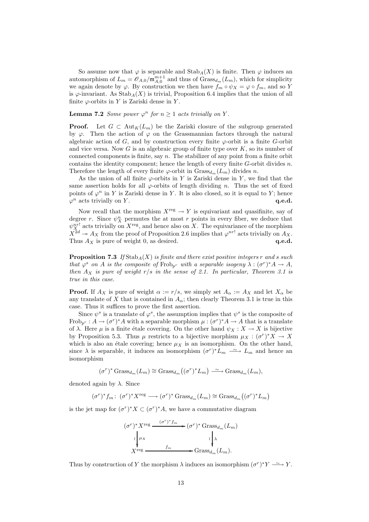So assume now that  $\varphi$  is separable and  $\text{Stab}_A(X)$  is finite. Then  $\varphi$  induces an automorphism of  $L_m = \mathcal{O}_{A,0}/\mathfrak{m}_{A,0}^{m+1}$  and thus of  $Grass_{d_m}(L_m)$ , which for simplicity we again denote by  $\varphi$ . By construction we then have  $f_m \circ \psi_X = \varphi \circ f_m$ , and so Y is  $\varphi$ -invariant. As Stab<sub>A</sub>(X) is trivial, Proposition 6.4 implies that the union of all finite  $\varphi$ -orbits in Y is Zariski dense in Y.

**Lemma 7.2** Some power  $\varphi^n$  for  $n \geq 1$  acts trivially on Y.

**Proof.** Let  $G \subset Aut_K(L_m)$  be the Zariski closure of the subgroup generated by  $\varphi$ . Then the action of  $\varphi$  on the Grassmannian factors through the natural algebraic action of  $G$ , and by construction every finite  $\varphi$ -orbit is a finite  $G$ -orbit and vice versa. Now G is an algebraic group of finite type over  $K$ , so its number of connected components is finite, say  $n$ . The stabilizer of any point from a finite orbit contains the identity component; hence the length of every finite  $G$ -orbit divides  $n$ . Therefore the length of every finite  $\varphi$ -orbit in Grass $_{d_m}(L_m)$  divides n.

As the union of all finite  $\varphi$ -orbits in Y is Zariski dense in Y, we find that the same assertion holds for all  $\varphi$ -orbits of length dividing n. Thus the set of fixed points of  $\varphi^n$  in Y is Zariski dense in Y. It is also closed, so it is equal to Y; hence  $\varphi^n$  acts trivially on Y.  $\qquad \qquad \mathbf{q.e.d.}$ 

Now recall that the morphism  $X^{\text{reg}} \to Y$  is equivariant and quasifinite, say of degree r. Since  $\psi_X^n$  permutes the at most r points in every fiber, we deduce that  $\psi_X^{nr!}$  acts trivially on  $X^{\text{reg}}$ , and hence also on X. The equivariance of the morphism  $X^{2d} \twoheadrightarrow A_X$  from the proof of Proposition 2.6 implies that  $\varphi^{nr!}$  acts trivially on  $A_X$ . Thus  $A_X$  is pure of weight 0, as desired.  $q.e.d.$ 

**Proposition 7.3** If  $\text{Stab}_A(X)$  is finite and there exist positive integers r and s such that  $\varphi^s$  on A is the composite of  $Frob_{p^r}$  with a separable isogeny  $\lambda : (\sigma^r)^* A \to A$ , then  $A_X$  is pure of weight  $r/s$  in the sense of 2.1. In particular, Theorem 3.1 is true in this case.

**Proof.** If  $A_X$  is pure of weight  $\alpha := r/s$ , we simply set  $A_\alpha := A_X$  and let  $X_\alpha$  be any translate of X that is contained in  $A_{\alpha}$ ; then clearly Theorem 3.1 is true in this case. Thus it suffices to prove the first assertion.

Since  $\psi^s$  is a translate of  $\varphi^s$ , the assumption implies that  $\psi^s$  is the composite of Frob<sub>p</sub><sup>r</sup> :  $A \to (\sigma^r)^* A$  with a separable morphism  $\mu : (\sigma^r)^* A \to A$  that is a translate of  $\lambda$ . Here  $\mu$  is a finite étale covering. On the other hand  $\psi_X : X \to X$  is bijective by Proposition 5.3. Thus  $\mu$  restricts to a bijective morphism  $\mu_X : (\sigma^r)^* X \to X$ which is also an étale covering; hence  $\mu_X$  is an isomorphism. On the other hand, since  $\lambda$  is separable, it induces an isomorphism  $(\sigma^r)^* L_m \longrightarrow L_m$  and hence an isomorphism

$$
(\sigma^r)^* \operatorname{Grass}_{d_m}(L_m) \cong \operatorname{Grass}_{d_m}((\sigma^r)^* L_m) \xrightarrow{\sim} \operatorname{Grass}_{d_m}(L_m),
$$

denoted again by  $\lambda$ . Since

$$
(\sigma^r)^* f_m \colon \, (\sigma^r)^* X^{\text{reg}} \longrightarrow (\sigma^r)^* \operatorname{Grass}_{d_m}(L_m) \cong \operatorname{Grass}_{d_m}((\sigma^r)^* L_m)
$$

is the jet map for  $(\sigma^r)^* X \subset (\sigma^r)^* A$ , we have a commutative diagram

$$
(\sigma^r)^* X^{\text{reg}} \xrightarrow{(\sigma^r)^* f_m} (\sigma^r)^* \text{Grass}_{d_m}(L_m)
$$
  

$$
\downarrow^{\text{l}} \downarrow^{\text{l}} \downarrow^{\text{l}} \downarrow^{\text{l}} \downarrow^{\text{l}} \downarrow^{\text{l}} \downarrow^{\text{l}} \downarrow^{\text{l}} \downarrow^{\text{l}} \downarrow^{\text{l}} \downarrow^{\text{l}} \downarrow^{\text{l}} \downarrow^{\text{l}} \downarrow^{\text{l}} \downarrow^{\text{l}} \downarrow^{\text{l}} \downarrow^{\text{l}} \downarrow^{\text{l}} \downarrow^{\text{l}} \downarrow^{\text{l}} \downarrow^{\text{l}} \downarrow^{\text{l}} \downarrow^{\text{l}} \downarrow^{\text{l}} \downarrow^{\text{l}} \downarrow^{\text{l}} \downarrow^{\text{l}} \downarrow^{\text{l}} \downarrow^{\text{l}} \downarrow^{\text{l}} \downarrow^{\text{l}} \downarrow^{\text{l}} \downarrow^{\text{l}} \downarrow^{\text{l}} \downarrow^{\text{l}} \downarrow^{\text{l}} \downarrow^{\text{l}} \downarrow^{\text{l}} \downarrow^{\text{l}} \downarrow^{\text{l}} \downarrow^{\text{l}} \downarrow^{\text{l}} \downarrow^{\text{l}} \downarrow^{\text{l}} \downarrow^{\text{l}} \downarrow^{\text{l}} \downarrow^{\text{l}} \downarrow^{\text{l}} \downarrow^{\text{l}} \downarrow^{\text{l}} \downarrow^{\text{l}} \downarrow^{\text{l}} \downarrow^{\text{l}} \downarrow^{\text{l}} \downarrow^{\text{l}} \downarrow^{\text{l}} \downarrow^{\text{l}} \downarrow^{\text{l}} \downarrow^{\text{l}} \downarrow^{\text{l}} \downarrow^{\text{l}} \downarrow^{\text{l}} \downarrow^{\text{l}} \downarrow^{\text{l}} \downarrow^{\text{l}} \downarrow^{\text{l}} \downarrow^{\text{l}} \downarrow^{\text{l}} \downarrow^{\text{l}} \downarrow^{\text{l}} \downarrow^{\text{l}} \downarrow^{\text{l}} \downarrow^{\text{l}} \downarrow^{\text{l}} \downarrow^{\text{l}} \downarrow^{\text{l}} \downarrow^{\text{l}} \downarrow^{\text{l}} \downarrow^{\text{l}} \downarrow^{\text{l}} \downarrow^{\text{l}} \downarrow^{\text{l}} \downarrow^{\text{l}} \downarrow^{\text{l}} \downarrow^{\text{l}} \downarrow^{\text{l}} \downarrow^{\text{l}} \downarrow^{\text{l}} \downarrow
$$

Thus by construction of Y the morphism  $\lambda$  induces an isomorphism  $(\sigma^r)^* Y \longrightarrow Y$ .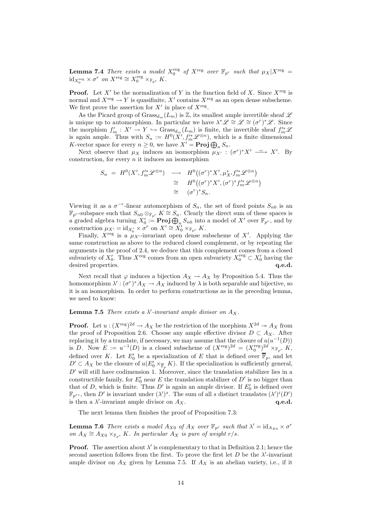**Lemma 7.4** There exists a model  $X_0^{\text{reg}}$  of  $X^{\text{reg}}$  over  $\mathbb{F}_{p^r}$  such that  $\mu_X | X^{\text{reg}} =$  $\mathrm{id}_{X_0^{\mathrm{reg}}} \times \sigma^r$  on  $X^{\mathrm{reg}} \cong X_0^{\mathrm{reg}} \times_{\mathbb{F}_{p^r}} K$ .

**Proof.** Let  $X'$  be the normalization of Y in the function field of X. Since  $X^{\text{reg}}$  is normal and  $X^{\text{reg}} \to Y$  is quasifinite,  $X'$  contains  $X^{\text{reg}}$  as an open dense subscheme. We first prove the assertion for  $X'$  in place of  $X<sup>reg</sup>$ .

As the Picard group of  $Grass_{d_m}(L_m)$  is  $\mathbb{Z}$ , its smallest ample invertible sheaf  $\mathscr L$ is unique up to automorphism. In particular we have  $\lambda^* \mathscr{L} \cong \mathscr{L} \cong (\sigma^r)^* \mathscr{L}$ . Since the morphism  $f'_m: X' \to Y \hookrightarrow \text{Grass}_{d_m}(L_m)$  is finite, the invertible sheaf  $f'^*_{m} \mathscr{L}$ is again ample. Thus with  $S_n := H^0(X', f_m'^* \mathscr{L}^{\otimes n})$ , which is a finite dimensional K-vector space for every  $n \geq 0$ , we have  $X' = \text{Proj } \bigoplus_n S_n$ .

Next observe that  $\mu_X$  induces an isomorphism  $\mu_{X'} : (\sigma^r)^* X' \longrightarrow X'$ . By construction, for every  $n$  it induces an isomorphism

$$
S_n = H^0(X', f_m'^{*} \mathscr{L}^{\otimes n}) \longrightarrow H^0((\sigma^r)^* X', \mu^*_{X'} f_m'^{*} \mathscr{L}^{\otimes n})
$$
  
\n
$$
\cong H^0((\sigma^r)^* X', (\sigma^r)^* f_m'^{*} \mathscr{L}^{\otimes n})
$$
  
\n
$$
\cong (\sigma^r)^* S_n.
$$

Viewing it as a  $\sigma^{-r}$ -linear automorphism of  $S_n$ , the set of fixed points  $S_{n0}$  is an  $\mathbb{F}_{p^r}$ -subspace such that  $S_{n0} \otimes_{\mathbb{F}_{p^r}} K \cong S_n$ . Clearly the direct sum of these spaces is a graded algebra turning  $X'_0 := \textbf{Proj } \bigoplus_n S_{n0}$  into a model of  $X'$  over  $\mathbb{F}_{p^r}$ , and by construction  $\mu_{X'} = \text{id}_{X'_0} \times \sigma^r$  on  $X' \cong X'_0 \times_{\mathbb{F}_{p^r}} K$ .

Finally,  $X^{\text{reg}}$  is a  $\mu_{X'}$ -invariant open dense subscheme of X'. Applying the same construction as above to the reduced closed complement, or by repeating the arguments in the proof of 2.4, we deduce that this complement comes from a closed subvariety of  $X'_0$ . Thus  $X^{\text{reg}}$  comes from an open subvariety  $X_0^{\text{reg}} \subset X'_0$  having the desired properties.  $q.e.d.$ 

Next recall that  $\varphi$  induces a bijection  $A_X \to A_X$  by Proposition 5.4. Thus the homomorphism  $\lambda' : (\sigma^r)^* A_X \to A_X$  induced by  $\lambda$  is both separable and bijective, so it is an isomorphism. In order to perform constructions as in the preceding lemma, we need to know:

### **Lemma 7.5** There exists a  $\lambda'$ -invariant ample divisor on  $A_X$ .

**Proof.** Let  $u : (X^{\text{reg}})^{2d} \to A_X$  be the restriction of the morphism  $X^{2d} \to A_X$  from the proof of Proposition 2.6. Choose any ample effective divisor  $D \subset A_X$ . After replacing it by a translate, if necessary, we may assume that the closure of  $u(u^{-1}(D))$ is D. Now  $E := u^{-1}(D)$  is a closed subscheme of  $(X^{reg})^{2d} = (X_0^{reg})^{2d} \times_{\mathbb{F}_{p^r}} K$ , defined over K. Let  $E'_0$  be a specialization of E that is defined over  $\overline{\mathbb{F}}_p$ , and let  $D' \subset A_X$  be the closure of  $u(E'_0 \times_{\overline{\mathbb{F}}_p} K)$ . If the specialization is sufficiently general,  $D'$  will still have codimension 1. Moreover, since the translation stabilizer lies in a constructible family, for  $E'_0$  near E the translation stabilizer of  $D'$  is no bigger than that of D, which is finite. Thus  $D'$  is again an ample divisor. If  $E'_0$  is defined over  $\mathbb{F}_{p^{rs}}$ , then D' is invariant under  $(\lambda')^s$ . The sum of all s distinct translates  $(\lambda')^i(D')$ is then a  $\lambda'$ -invariant ample divisor on  $A_X$ . **q.e.d.** 

The next lemma then finishes the proof of Proposition 7.3:

**Lemma 7.6** There exists a model  $A_{X0}$  of  $A_X$  over  $\mathbb{F}_{p^r}$  such that  $\lambda' = \mathrm{id}_{A_{X0}} \times \sigma^r$ on  $A_X \cong A_{X0} \times_{\mathbb{F}_{p^r}} K$ . In particular  $A_X$  is pure of weight  $r/s$ .

**Proof.** The assertion about  $\lambda'$  is complementary to that in Definition 2.1; hence the second assertion follows from the first. To prove the first let  $D$  be the  $\lambda'$ -invariant ample divisor on  $A_X$  given by Lemma 7.5. If  $A_X$  is an abelian variety, i.e., if it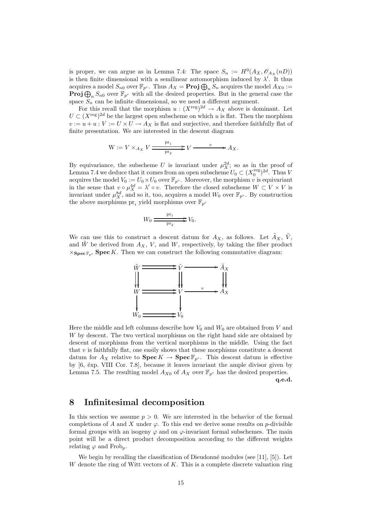is proper, we can argue as in Lemma 7.4: The space  $S_n := H^0(A_X, \mathscr{O}_{A_X}(n))$ is then finite dimensional with a semilinear automorphism induced by  $\lambda'$ . It thus acquires a model  $S_{n0}$  over  $\mathbb{F}_{p^r}$ . Thus  $A_X = \textbf{Proj } \bigoplus_n S_n$  acquires the model  $A_{X0} :=$ **Proj** $\bigoplus_n S_{n0}$  over  $\mathbb{F}_{p^r}$  with all the desired properties. But in the general case the space  $S_n$  can be infinite dimensional, so we need a different argument.

For this recall that the morphism  $u : (X^{\text{reg}})^{2d} \to A_X$  above is dominant. Let  $U \subset (X^{\text{reg}})^{2d}$  be the largest open subscheme on which u is flat. Then the morphism  $v := u + u : V := U \times U \longrightarrow A_X$  is flat and surjective, and therefore faithfully flat of finite presentation. We are interested in the descent diagram

$$
W := V \times_{A_X} V \xrightarrow{\mathrm{pr}_1} V \xrightarrow{\phantom{p}v} V \xrightarrow{\phantom{p}v} A_X.
$$

By equivariance, the subscheme U is invariant under  $\mu_X^{2d}$ ; so as in the proof of Lemma 7.4 we deduce that it comes from an open subscheme  $U_0 \subset (X_0^{\text{reg}})^{2d}$ . Thus V acquires the model  $V_0 := U_0 \times U_0$  over  $\mathbb{F}_{p^r}$ . Moreover, the morphism v is equivariant in the sense that  $v \circ \mu_X^{4d} = \lambda' \circ v$ . Therefore the closed subscheme  $W \subset V \times V$  is invariant under  $\mu_X^{8d}$ , and so it, too, acquires a model  $W_0$  over  $\mathbb{F}_{p^r}$ . By construction the above morphisms  $\text{pr}_i$  yield morphisms over  $\mathbb{F}_{p^r}$ 

$$
W_0 \xrightarrow{\mathrm{pr}_1} V_0.
$$

We can use this to construct a descent datum for  $A_X$ , as follows. Let  $\tilde{A}_X$ ,  $\tilde{V}$ , and W be derived from  $A_X$ , V, and W, respectively, by taking the fiber product  $\times_{\textbf{Spec} \mathbb{F}_{p^r}} \textbf{Spec} K$ . Then we can construct the following commutative diagram:



Here the middle and left columns describe how  $V_0$  and  $W_0$  are obtained from V and W by descent. The two vertical morphisms on the right hand side are obtained by descent of morphisms from the vertical morphisms in the middle. Using the fact that  $v$  is faithfully flat, one easily shows that these morphisms constitute a descent datum for  $A_X$  relative to  $\text{Spec } K \to \text{Spec } \mathbb{F}_{p^r}$ . This descent datum is effective by  $[6, \text{ éxp. VIII Cor. 7.8}]$ , because it leaves invariant the ample divisor given by Lemma 7.5. The resulting model  $A_{X0}$  of  $A_X$  over  $\mathbb{F}_{p^r}$  has the desired properties.

q.e.d.

### 8 Infinitesimal decomposition

In this section we assume  $p > 0$ . We are interested in the behavior of the formal completions of A and X under  $\varphi$ . To this end we derive some results on p-divisible formal groups with an isogeny  $\varphi$  and on  $\varphi$ -invariant formal subschemes. The main point will be a direct product decomposition according to the different weights relating  $\varphi$  and Frob<sub>p</sub>.

We begin by recalling the classification of Dieudonné modules (see  $[11]$ ,  $[5]$ ). Let W denote the ring of Witt vectors of  $K$ . This is a complete discrete valuation ring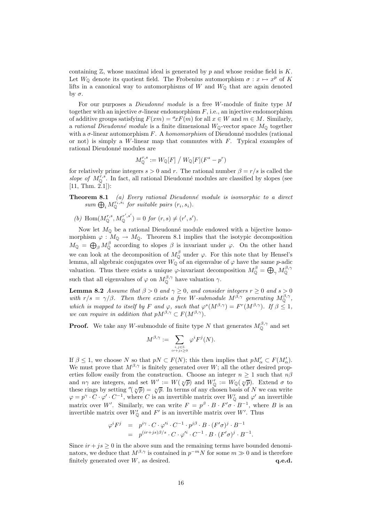containing  $\mathbb{Z}$ , whose maximal ideal is generated by p and whose residue field is  $K$ . Let  $W_{\mathbb{Q}}$  denote its quotient field. The Frobenius automorphism  $\sigma : x \mapsto x^p$  of K lifts in a canonical way to automorphisms of  $W$  and  $W<sub>Q</sub>$  that are again denoted by σ.

For our purposes a *Dieudonné module* is a free W-module of finite type  $M$ together with an injective  $\sigma$ -linear endomorphism  $F$ , i.e., an injective endomorphism of additive groups satisfying  $F(xm) = \sigma x F(m)$  for all  $x \in W$  and  $m \in M$ . Similarly, a rational Dieudonné module is a finite dimensional  $W_0$ -vector space  $M_0$  together with a  $\sigma$ -linear automorphism F. A homomorphism of Dieudonné modules (rational or not) is simply a W-linear map that commutes with  $F$ . Typical examples of rational Dieudonn´e modules are

$$
M_{\mathbb{Q}}^{r,s}:=W_{\mathbb{Q}}[F]\bigm/ W_{\mathbb{Q}}[F](F^s-p^r)
$$

for relatively prime integers  $s > 0$  and r. The rational number  $\beta = r/s$  is called the slope of  $M_{\mathbb{Q}}^{r,s}$ . In fact, all rational Dieudonné modules are classified by slopes (see  $[11, Thm. 2.1]$ :

### **Theorem 8.1** (a) Every rational Dieudonné module is isomorphic to a direct sum  $\bigoplus_i M_{\mathbb{Q}}^{r_i, s_i}$  for suitable pairs  $(r_i, s_i)$ .

(b) Hom $(M^{r,s}_{\mathbb{Q}}, M^{r',s'}_{\mathbb{Q}})$  $\mathcal{L}_{\mathbb{Q}}^{(r',s')}=0$  for  $(r,s)\neq (r',s').$ 

Now let  $M_{\mathbb{Q}}$  be a rational Dieudonné module endowed with a bijective homomorphism  $\varphi : M_0 \to M_0$ . Theorem 8.1 implies that the isotypic decomposition  $M_{\mathbb{Q}} = \bigoplus_{\beta} M_{\mathbb{Q}}^{\beta}$  according to slopes  $\beta$  is invariant under  $\varphi$ . On the other hand we can look at the decomposition of  $M_{\mathbb{Q}}^{\beta}$  under  $\varphi$ . For this note that by Hensel's lemma, all algebraic conjugates over  $W_{\mathbb{Q}}$  of an eigenvalue of  $\varphi$  have the same p-adic valuation. Thus there exists a unique  $\varphi$ -invariant decomposition  $M_{\mathbb{Q}}^{\beta} = \bigoplus_{\gamma} M_{\mathbb{Q}}^{\beta, \gamma}$ such that all eigenvalues of  $\varphi$  on  $M_{\mathbb{Q}}^{\beta,\gamma}$  have valuation  $\gamma$ .

**Lemma 8.2** Assume that  $\beta > 0$  and  $\gamma \ge 0$ , and consider integers  $r \ge 0$  and  $s > 0$ with  $r/s = \gamma/\beta$ . Then there exists a free W-submodule  $M^{\beta, \gamma}$  generating  $M^{\beta, \gamma}_{\mathbb{Q}}$ , which is mapped to itself by F and  $\varphi$ , such that  $\varphi^{s}(M^{\beta,\gamma}) = F^{r}(M^{\beta,\gamma})$ . If  $\beta \leq 1$ , we can require in addition that  $pM^{\beta,\gamma} \subset F(M^{\beta,\gamma})$ .

**Proof.** We take any W-submodule of finite type N that generates  $M_{\mathbb{Q}}^{\beta,\gamma}$  and set

$$
M^{\beta,\gamma} := \sum_{\substack{i,j\in\mathbb{Z} \\ ir+js\geq 0}} \varphi^i F^j(N).
$$

If  $\beta \leq 1$ , we choose N so that  $pN \subset F(N)$ ; this then implies that  $pM'_{\alpha} \subset F(M'_{\alpha})$ . We must prove that  $M^{\beta,\gamma}$  is finitely generated over W; all the other desired properties follow easily from the construction. Choose an integer  $n \geq 1$  such that  $n\beta$ and  $n\gamma$  are integers, and set  $W' := W(\sqrt[n]{p})$  and  $W'_{\mathbb{Q}} := W_{\mathbb{Q}}(\sqrt[n]{p})$ . Extend  $\sigma$  to these rings by setting  $\sigma(\sqrt[p]{p}) = \sqrt[p]{p}$ . In terms of any chosen basis of N we can write  $\varphi = p^{\gamma} \cdot C \cdot \varphi' \cdot C^{-1}$ , where C is an invertible matrix over  $W'_{\mathbb{Q}}$  and  $\varphi'$  an invertible matrix over W'. Similarly, we can write  $F = p^{\beta} \cdot B \cdot F' \sigma \cdot B^{-1}$ , where B is an invertible matrix over  $W'_{\mathbb{Q}}$  and  $F'$  is an invertible matrix over W'. Thus

$$
\varphi^i F^j = p^{i\gamma} \cdot C \cdot \varphi'^i \cdot C^{-1} \cdot p^{j\beta} \cdot B \cdot (F'\sigma)^j \cdot B^{-1}
$$
  
=  $p^{(ir+js)\beta/s} \cdot C \cdot \varphi'^i \cdot C^{-1} \cdot B \cdot (F'\sigma)^j \cdot B^{-1}$ 

.

Since  $ir + js \geq 0$  in the above sum and the remaining terms have bounded denominators, we deduce that  $M^{\beta,\gamma}$  is contained in  $p^{-m}N$  for some  $m \gg 0$  and is therefore finitely generated over  $W$ , as desired.  $q.e.d.$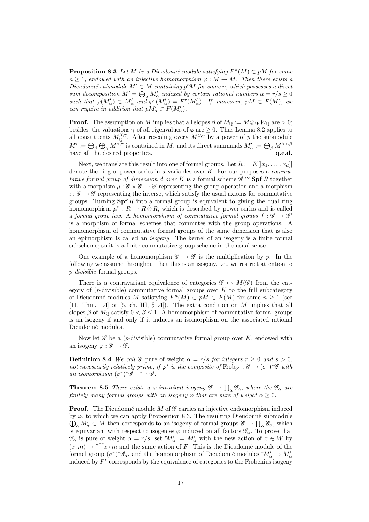**Proposition 8.3** Let M be a Dieudonné module satisfying  $F^n(M) \subset pM$  for some  $n \geq 1$ , endowed with an injective homomorphism  $\varphi : M \to M$ . Then there exists a Dieudonné submodule  $M' \subset M$  containing  $p^nM$  for some n, which possesses a direct sum decomposition  $M' = \bigoplus_{\alpha} M'_{\alpha}$  indexed by certain rational numbers  $\alpha = r/s \geq 0$ such that  $\varphi(M'_\alpha) \subset M'_\alpha$  and  $\varphi^s(M'_\alpha) = F^r(M'_\alpha)$ . If, moreover,  $pM \subset F(M)$ , we can require in addition that  $pM'_{\alpha} \subset F(M'_{\alpha}).$ 

**Proof.** The assumption on M implies that all slopes  $\beta$  of  $M_{\mathbb{Q}} := M \otimes_W W_{\mathbb{Q}}$  are  $> 0$ ; besides, the valuations  $\gamma$  of all eigenvalues of  $\varphi$  are  $\geq 0$ . Thus Lemma 8.2 applies to all constituents  $M_{\mathbb{Q}}^{\beta,\gamma}$ . After rescaling every  $M^{\beta,\gamma}$  by a power of p the submodule  $M':=\bigoplus_\beta\bigoplus_\gamma M^{\beta,\gamma}$  is contained in M, and its direct summands  $M'_\alpha:=\bigoplus_\beta M^{\beta,\alpha\beta}$ have all the desired properties.  $q.e.d.$ 

Next, we translate this result into one of formal groups. Let  $R := K[[x_1, \ldots, x_d]]$ denote the ring of power series in  $d$  variables over  $K$ . For our purposes a *commu*tative formal group of dimension d over K is a formal scheme  $\mathscr{G} \cong$  Spf R together with a morphism  $\mu : \mathscr{G} \times \mathscr{G} \to \mathscr{G}$  representing the group operation and a morphism  $\iota : \mathscr{G} \to \mathscr{G}$  representing the inverse, which satisfy the usual axioms for commutative groups. Turning  $\text{Spf } R$  into a formal group is equivalent to giving the dual ring homomorphism  $\mu^* : R \to R \hat{\otimes} R$ , which is described by power series and is called a formal group law. A homomorphism of commutative formal groups  $f : \mathscr{G} \to \mathscr{G}'$ is a morphism of formal schemes that commutes with the group operations. A homomorphism of commutative formal groups of the same dimension that is also an epimorphism is called an isogeny. The kernel of an isogeny is a finite formal subscheme; so it is a finite commutative group scheme in the usual sense.

One example of a homomorphism  $\mathscr{G} \to \mathscr{G}$  is the multiplication by p. In the following we assume throughout that this is an isogeny, i.e., we restrict attention to p-divisible formal groups.

There is a contravariant equivalence of categories  $\mathscr{G} \mapsto M(\mathscr{G})$  from the category of  $(p$ -divisible) commutative formal groups over K to the full subcategory of Dieudonné modules M satisfying  $F^n(M) \subset pM \subset F(M)$  for some  $n \geq 1$  (see [11, Thm. 1.4] or [5, ch. III,  $\S1.4$ ]). The extra condition on M implies that all slopes  $\beta$  of  $M_0$  satisfy  $0 < \beta \leq 1$ . A homomorphism of commutative formal groups is an isogeny if and only if it induces an isomorphism on the associated rational Dieudonné modules.

Now let  $\mathscr G$  be a (p-divisible) commutative formal group over  $K$ , endowed with an isogeny  $\varphi : \mathscr{G} \to \mathscr{G}$ .

**Definition 8.4** We call  $\mathscr G$  pure of weight  $\alpha = r/s$  for integers  $r > 0$  and  $s > 0$ , not necessarily relatively prime, if  $\varphi^s$  is the composite of  $Frob_{p^r}: \mathscr{G} \to (\sigma^r)^*\mathscr{G}$  with an isomorphism  $(\sigma^r)^* \mathscr{G} \longrightarrow \mathscr{G}$ .

**Theorem 8.5** There exists a  $\varphi$ -invariant isogeny  $\mathscr{G} \to \prod_{\alpha} \mathscr{G}_{\alpha}$ , where the  $\mathscr{G}_{\alpha}$  are finitely many formal groups with an isogeny  $\varphi$  that are pure of weight  $\alpha \geq 0$ .

**Proof.** The Dieudonné module M of  $\mathscr G$  carries an injective endomorphism induced  $\bigoplus_{\alpha} M'_{\alpha} \subset M$  then corresponds to an isogeny of formal groups  $\mathscr{G} \to \prod_{\alpha} \mathscr{G}_{\alpha}$ , which by  $\varphi$ , to which we can apply Proposition 8.3. The resulting Dieudonné submodule is equivariant with respect to isogenies  $\varphi$  induced on all factors  $\mathscr{G}_{\alpha}$ . To prove that  $\mathscr{G}_{\alpha}$  is pure of weight  $\alpha = r/s$ , set  ${}^{r}M'_{\alpha} := M'_{\alpha}$  with the new action of  $x \in W$  by  $(x, m) \mapsto {\sigma}^{-r}x \cdot m$  and the same action of F. This is the Dieudonné module of the formal group  $(\sigma^r)^*\mathscr{G}_\alpha$ , and the homomorphism of Dieudonné modules  ${}^rM'_\alpha \to M'_\alpha$ induced by F r corresponds by the equivalence of categories to the Frobenius isogeny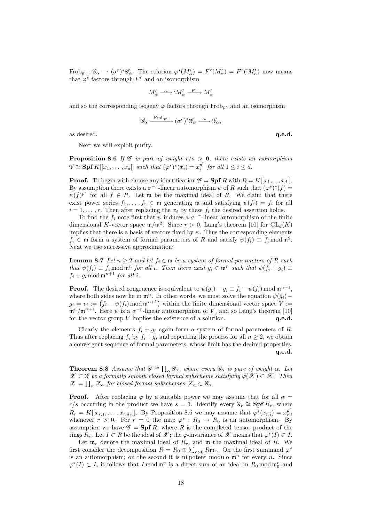$Frob_{p^r}: \mathscr{G}_\alpha \to (\sigma^r)^*\mathscr{G}_\alpha$ . The relation  $\varphi^s(M'_\alpha) = F^r(M'_\alpha) = F^r({}^rM'_\alpha)$  now means that  $\varphi^s$  factors through  $F^r$  and an isomorphism

$$
M'_\alpha \xrightarrow{\sim} {}^r M'_\alpha \xrightarrow{F^r} M'_\alpha
$$

and so the corresponding isogeny  $\varphi$  factors through Frob<sub>pr</sub> and an isomorphism

$$
\mathscr{G}_{\alpha} \xrightarrow{\text{Frob}_{p^r}} (\sigma^r)^* \mathscr{G}_{\alpha} \xrightarrow{\sim} \mathscr{G}_{\alpha},
$$

as desired.  $q.e.d.$ 

Next we will exploit purity.

**Proposition 8.6** If  $\mathscr G$  is pure of weight  $r/s > 0$ , there exists an isomorphism  $\mathscr{G} \cong$  **Spf**  $K[[x_1,\ldots,x_d]]$  such that  $(\varphi^s)^*(x_i) = x_i^{p^r}$  $\int_i^p$  for all  $1 \leq i \leq d$ .

**Proof.** To begin with choose any identification  $\mathscr{G} =$  **Spf** R with  $R = K[[x_1, ..., x_d]]$ . By assumption there exists a  $\sigma^{-r}$ -linear automorphism  $\psi$  of R such that  $(\varphi^s)^*(f)$  =  $\psi(f)^{p^r}$  for all  $f \in R$ . Let m be the maximal ideal of R. We claim that there exist power series  $f_1, \ldots, f_r \in \mathfrak{m}$  generating  $\mathfrak{m}$  and satisfying  $\psi(f_i) = f_i$  for all  $i = 1, \ldots, r$ . Then after replacing the  $x_i$  by these  $f_i$  the desired assertion holds.

To find the  $f_i$  note first that  $\psi$  induces a  $\sigma^{-r}$ -linear automorphism of the finite dimensional K-vector space  $\mathfrak{m}/\mathfrak{m}^2$ . Since  $r > 0$ , Lang's theorem [10] for  $GL_d(K)$ implies that there is a basis of vectors fixed by  $\psi$ . Thus the corresponding elements  $f_i \in \mathfrak{m}$  form a system of formal parameters of R and satisfy  $\psi(f_i) \equiv f_i \mod \mathfrak{m}^2$ . Next we use successive approximation:

**Lemma 8.7** Let  $n \geq 2$  and let  $f_i \in \mathfrak{m}$  be a system of formal parameters of R such that  $\psi(f_i) \equiv f_i \mod \mathfrak{m}^n$  for all i. Then there exist  $g_i \in \mathfrak{m}^n$  such that  $\psi(f_i + g_i) \equiv$  $f_i + g_i \mod \mathfrak{m}^{n+1}$  for all i.

**Proof.** The desired congruence is equivalent to  $\psi(g_i) - g_i \equiv f_i - \psi(f_i) \mod \mathfrak{m}^{n+1}$ , where both sides now lie in  $\mathfrak{m}^n$ . In other words, we must solve the equation  $\psi(\bar{q}_i)$  −  $\bar{g}_i = v_i := (f_i - \psi(f_i) \mod \mathfrak{m}^{n+1})$  within the finite dimensional vector space  $V :=$  $\mathfrak{m}^n/\mathfrak{m}^{n+1}$ . Here  $\psi$  is a  $\sigma^{-r}$ -linear automorphism of V, and so Lang's theorem [10] for the vector group  $V$  implies the existence of a solution.  $q.e.d.$ 

Clearly the elements  $f_i + g_i$  again form a system of formal parameters of R. Thus after replacing  $f_i$  by  $f_i + g_i$  and repeating the process for all  $n \geq 2$ , we obtain a convergent sequence of formal parameters, whose limit has the desired properties. q.e.d.

**Theorem 8.8** Assume that  $\mathscr{G} \cong \prod_{\alpha} \mathscr{G}_{\alpha}$ , where every  $\mathscr{G}_{\alpha}$  is pure of weight  $\alpha$ . Let  $\mathscr{X} \subset \mathscr{G}$  be a formally smooth closed formal subscheme satisfying  $\varphi(\mathscr{X}) \subset \mathscr{X}$ . Then  $\mathscr{X}=\prod_{\alpha}\mathscr{X}_{\alpha} \textit{ for closed formal subschemes } \mathscr{X}_{\alpha}\subset\mathscr{G}_{\alpha}.$ 

**Proof.** After replacing  $\varphi$  by a suitable power we may assume that for all  $\alpha$  = r/s occurring in the product we have  $s = 1$ . Identify every  $\mathscr{G}_r \cong$  Spf  $R_r$ , where  $R_r = K[[x_{r,1},\ldots,x_{r,d_r}]]$ . By Proposition 8.6 we may assume that  $\varphi^*(x_{r,i}) = x_{r,i}^{p^r}$  $_{r,i}$ whenever  $r > 0$ . For  $r = 0$  the map  $\varphi^* : R_0 \to R_0$  is an automorphism. By assumption we have  $\mathscr{G} = \mathbf{Spf} R$ , where R is the completed tensor product of the rings  $R_r$ . Let  $I \subset R$  be the ideal of  $\mathscr X$ ; the  $\varphi$ -invariance of  $\mathscr X$  means that  $\varphi^*(I) \subset I$ .

Let  $\mathfrak{m}_r$  denote the maximal ideal of  $R_r$ , and  $\mathfrak{m}$  the maximal ideal of R. We first consider the decomposition  $R = R_0 \oplus \sum_{r>0} R m_r$ . On the first summand  $\varphi^*$ is an automorphism; on the second it is nilpotent modulo  $\mathfrak{m}^n$  for every n. Since  $\varphi^*(I) \subset I$ , it follows that  $I \mod \mathfrak{m}^n$  is a direct sum of an ideal in  $R_0 \mod \mathfrak{m}_0^n$  and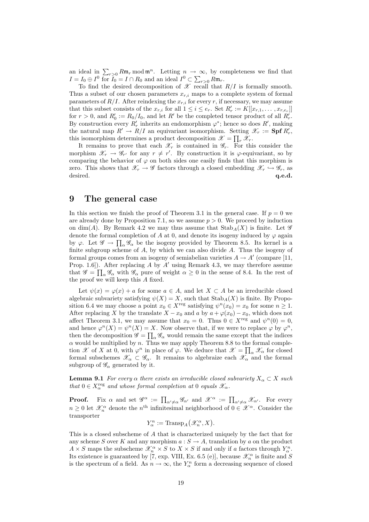an ideal in  $\sum_{r>0} Rm_r \mod m^n$ . Letting  $n \to \infty$ , by completeness we find that  $I = I_0 \oplus I^0$  for  $I_0 = I \cap R_0$  and an ideal  $I^0 \subset \sum_{r>0} Rm_r$ .

To find the desired decomposition of  $\mathscr X$  recall that  $R/I$  is formally smooth. Thus a subset of our chosen parameters  $x_{r,i}$  maps to a complete system of formal parameters of  $R/I$ . After reindexing the  $x_{r,i}$  for every r, if necessary, we may assume that this subset consists of the  $x_{r,i}$  for all  $1 \leq i \leq e_r$ . Set  $R'_r := K[[x_{r,1}, \ldots, x_{r,e_r}]]$ for  $r > 0$ , and  $R'_0 := R_0/I_0$ , and let  $R'$  be the completed tensor product of all  $R'_r$ . By construction every  $R'_r$  inherits an endomorphism  $\varphi^*$ ; hence so does  $R'$ , making the natural map  $R' \to R/I$  an equivariant isomorphism. Setting  $\mathscr{X}_r := \mathbf{Spf} R'_r$ , this isomorphism determines a product decomposition  $\mathscr{X} = \prod_r \mathscr{X}_r$ .

It remains to prove that each  $\mathscr{X}_r$  is contained in  $\mathscr{G}_r$ . For this consider the morphism  $\mathscr{X}_r \to \mathscr{G}_{r'}$  for any  $r \neq r'$ . By construction it is  $\varphi$ -equivariant, so by comparing the behavior of  $\varphi$  on both sides one easily finds that this morphism is zero. This shows that  $\mathscr{X}_r \to \mathscr{G}$  factors through a closed embedding  $\mathscr{X}_r \hookrightarrow \mathscr{G}_r$ , as desired. q.e.d. desired.  $q.e.d.$ 

### 9 The general case

In this section we finish the proof of Theorem 3.1 in the general case. If  $p = 0$  we are already done by Proposition 7.1, so we assume  $p > 0$ . We proceed by induction on dim(A). By Remark 4.2 we may thus assume that  $\text{Stab}_A(X)$  is finite. Let  $\mathscr G$ denote the formal completion of A at 0, and denote its isogeny induced by  $\varphi$  again by  $\varphi$ . Let  $\mathscr{G} \to \prod_{\alpha} \mathscr{G}_{\alpha}$  be the isogeny provided by Theorem 8.5. Its kernel is a finite subgroup scheme of  $A$ , by which we can also divide  $A$ . Thus the isogeny of formal groups comes from an isogeny of semiabelian varieties  $A \to A'$  (compare [11, Prop. 1.6]). After replacing A by A' using Remark 4.3, we may therefore assume that  $\mathscr{G} = \prod_{\alpha} \mathscr{G}_{\alpha}$  with  $\mathscr{G}_{\alpha}$  pure of weight  $\alpha \geq 0$  in the sense of 8.4. In the rest of the proof we will keep this A fixed.

Let  $\psi(x) = \varphi(x) + a$  for some  $a \in A$ , and let  $X \subset A$  be an irreducible closed algebraic subvariety satisfying  $\psi(X) = X$ , such that  $\text{Stab}_A(X)$  is finite. By Proposition 6.4 we may choose a point  $x_0 \in X^{\text{reg}}$  satisfying  $\psi^n(x_0) = x_0$  for some  $n \geq 1$ . After replacing X by the translate  $X - x_0$  and a by  $a + \varphi(x_0) - x_0$ , which does not affect Theorem 3.1, we may assume that  $x_0 = 0$ . Thus  $0 \in X^{\text{reg}}$  and  $\psi^n(0) = 0$ , and hence  $\varphi^n(X) = \psi^n(X) = X$ . Now observe that, if we were to replace  $\varphi$  by  $\varphi^n$ , then the decomposition  $\mathscr{G} = \prod_{\alpha} \mathscr{G}_{\alpha}$  would remain the same except that the indices  $\alpha$  would be multiplied by n. Thus we may apply Theorem 8.8 to the formal completion  $\mathscr X$  of X at 0, with  $\varphi^n$  in place of  $\varphi$ . We deduce that  $\mathscr X = \prod_\alpha \mathscr X_\alpha$  for closed formal subschemes  $\mathscr{X}_{\alpha} \subset \mathscr{G}_{\alpha}$ . It remains to algebraize each  $\mathscr{X}_{\alpha}$  and the formal subgroup of  $\mathscr{G}_{\alpha}$  generated by it.

**Lemma 9.1** For every  $\alpha$  there exists an irreducible closed subvariety  $X_{\alpha} \subset X$  such that  $0 \in X_\alpha^{\text{reg}}$  and whose formal completion at 0 equals  $\mathscr{X}_\alpha$ .

**Proof.** Fix  $\alpha$  and set  $\mathscr{G}^{\alpha} := \prod_{\alpha' \neq \alpha} \mathscr{G}_{\alpha'}$  and  $\mathscr{X}^{\alpha} := \prod_{\alpha' \neq \alpha} \mathscr{X}_{\alpha'}$ . For every  $n \geq 0$  let  $\mathcal{X}_n^{\alpha}$  denote the  $n^{\text{th}}$  infinitesimal neighborhood of  $0 \in \mathcal{X}^{\alpha}$ . Consider the transporter

$$
Y_{\alpha}^{n} := \text{Transp}_{A}(\mathscr{X}_{n}^{\alpha}, X).
$$

This is a closed subscheme of A that is characterized uniquely by the fact that for any scheme S over K and any morphism  $a: S \to A$ , translation by a on the product  $A \times S$  maps the subscheme  $\mathscr{X}_n^{\alpha} \times S$  to  $X \times S$  if and only if a factors through  $Y_\alpha^n$ . Its existence is guaranteed by [7, exp. VIII, Ex. 6.5 (e)], because  $\mathscr{X}^\alpha_n$  is finite and  $S$ is the spectrum of a field. As  $n \to \infty$ , the  $Y_{\alpha}^{n}$  form a decreasing sequence of closed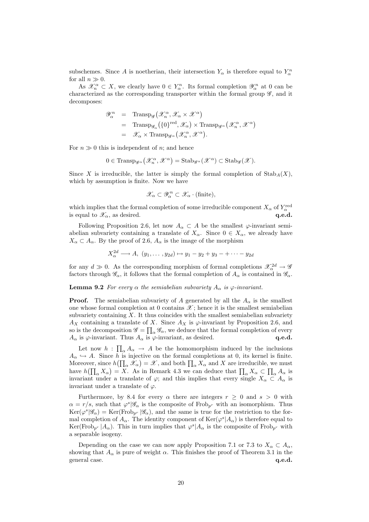subschemes. Since A is noetherian, their intersection  $Y_{\alpha}$  is therefore equal to  $Y_{\alpha}^{n}$ for all  $n \gg 0$ .

As  $\mathscr{X}_n^{\alpha} \subset X$ , we clearly have  $0 \in Y_n^n$ . Its formal completion  $\mathscr{Y}_\alpha^n$  at 0 can be characterized as the corresponding transporter within the formal group  $\mathscr{G}$ , and it decomposes:

$$
\mathscr{Y}_{\alpha}^{n} = \text{Transp}_{\mathscr{G}}(\mathscr{X}_{n}^{\alpha}, \mathscr{X}_{\alpha} \times \mathscr{X}^{\alpha})
$$
  
\n=  $\text{Transp}_{\mathscr{G}_{\alpha}}(\{0\}^{\text{red}}, \mathscr{X}_{\alpha}) \times \text{Transp}_{\mathscr{G}^{\alpha}}(\mathscr{X}_{n}^{\alpha}, \mathscr{X}^{\alpha})$   
\n=  $\mathscr{X}_{\alpha} \times \text{Transp}_{\mathscr{G}^{\alpha}}(\mathscr{X}_{n}^{\alpha}, \mathscr{X}^{\alpha}).$ 

For  $n \gg 0$  this is independent of n; and hence

$$
0 \in \operatorname{Transp}_{\mathscr{G}^{\alpha}}(\mathscr{X}_{n}^{\alpha}, \mathscr{X}^{\alpha}) = \operatorname{Stab}_{\mathscr{G}^{\alpha}}(\mathscr{X}^{\alpha}) \subset \operatorname{Stab}_{\mathscr{G}}(\mathscr{X}).
$$

Since X is irreducible, the latter is simply the formal completion of  $\text{Stab}_A(X)$ , which by assumption is finite. Now we have

$$
\mathscr{X}_{\alpha} \subset \mathscr{Y}_{\alpha}^{n} \subset \mathscr{X}_{\alpha} \cdot (\text{finite}),
$$

which implies that the formal completion of some irreducible component  $X_{\alpha}$  of  $Y_{\alpha}^{\text{red}}$ is equal to  $\mathscr{X}_{\alpha}$ , as desired.

Following Proposition 2.6, let now  $A_{\alpha} \subset A$  be the smallest  $\varphi$ -invariant semiabelian subvariety containing a translate of  $X_\alpha$ . Since  $0 \in X_\alpha$ , we already have  $X_{\alpha} \subset A_{\alpha}$ . By the proof of 2.6,  $A_{\alpha}$  is the image of the morphism

$$
X_{\alpha}^{2d} \longrightarrow A, \ (y_1, \ldots, y_{2d}) \mapsto y_1 - y_2 + y_3 - + \cdots - y_{2d}
$$

for any  $d \gg 0$ . As the corresponding morphism of formal completions  $\mathcal{X}_{\alpha}^{2d} \to \mathcal{G}$ factors through  $\mathscr{G}_{\alpha}$ , it follows that the formal completion of  $A_{\alpha}$  is contained in  $\mathscr{G}_{\alpha}$ .

**Lemma 9.2** For every  $\alpha$  the semiabelian subvariety  $A_{\alpha}$  is  $\varphi$ -invariant.

**Proof.** The semiabelian subvariety of A generated by all the  $A_{\alpha}$  is the smallest one whose formal completion at 0 contains  $\mathscr{X}$ ; hence it is the smallest semiabelian subvariety containing  $X$ . It thus coincides with the smallest semiabelian subvariety  $A_X$  containing a translate of X. Since  $A_X$  is  $\varphi$ -invariant by Proposition 2.6, and so is the decomposition  $\mathscr{G} = \prod_{\alpha} \mathscr{G}_{\alpha}$ , we deduce that the formal completion of every  $A_{\alpha}$  is  $\varphi$ -invariant. Thus  $A_{\alpha}$  is  $\varphi$ -invariant, as desired. **q.e.d. q.e.d.** 

Let now  $h: \prod_{\alpha} A_{\alpha} \to A$  be the homomorphism induced by the inclusions  $A_{\alpha} \hookrightarrow A$ . Since h is injective on the formal completions at 0, its kernel is finite. Moreover, since  $h(\prod_{\alpha} \mathscr{X}_{\alpha}) = \mathscr{X}$ , and both  $\prod_{\alpha} X_{\alpha}$  and X are irreducible, we must have  $h(\prod_{\alpha} X_{\alpha}) = X$ . As in Remark 4.3 we can deduce that  $\prod_{\alpha} X_{\alpha} \subset \prod_{\alpha} A_{\alpha}$  is invariant under a translate of  $\varphi$ ; and this implies that every single  $X_{\alpha} \subset A_{\alpha}$  is invariant under a translate of  $\varphi$ .

Furthermore, by 8.4 for every  $\alpha$  there are integers  $r > 0$  and  $s > 0$  with  $\alpha = r/s$ , such that  $\varphi^{s}|\mathscr{G}_{\alpha}$  is the composite of Frob<sub>p</sub><sub>r</sub> with an isomorphism. Thus  $\text{Ker}(\varphi^s|\mathscr{G}_\alpha) = \text{Ker}(\text{Frob}_{p^r}|\mathscr{G}_\alpha)$ , and the same is true for the restriction to the formal completion of  $A_{\alpha}$ . The identity component of  $\text{Ker}(\varphi^s|A_{\alpha})$  is therefore equal to  $\text{Ker}(\text{Frob}_{p^r} | A_\alpha)$ . This in turn implies that  $\varphi^s | A_\alpha$  is the composite of  $\text{Frob}_{p^r}$  with a separable isogeny.

Depending on the case we can now apply Proposition 7.1 or 7.3 to  $X_\alpha \subset A_\alpha$ , showing that  $A_{\alpha}$  is pure of weight  $\alpha$ . This finishes the proof of Theorem 3.1 in the general case.  $q.e.d.$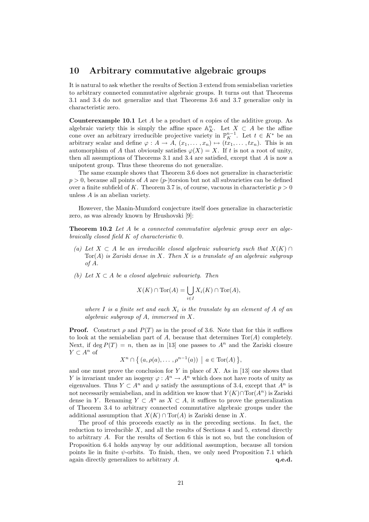### 10 Arbitrary commutative algebraic groups

It is natural to ask whether the results of Section 3 extend from semiabelian varieties to arbitrary connected commutative algebraic groups. It turns out that Theorems 3.1 and 3.4 do not generalize and that Theorems 3.6 and 3.7 generalize only in characteristic zero.

**Counterexample 10.1** Let  $A$  be a product of  $n$  copies of the additive group. As algebraic variety this is simply the affine space  $\mathbb{A}_{K}^{n}$ . Let  $X \subset A$  be the affine cone over an arbitrary irreducible projective variety in  $\mathbb{P}_{K}^{n-1}$ . Let  $t \in K^*$  be an arbitrary scalar and define  $\varphi : A \to A, (x_1, \ldots, x_n) \mapsto (tx_1, \ldots, tx_n)$ . This is an automorphism of A that obviously satisfies  $\varphi(X) = X$ . If t is not a root of unity, then all assumptions of Theorems 3.1 and 3.4 are satisfied, except that A is now a unipotent group. Thus these theorems do not generalize.

The same example shows that Theorem 3.6 does not generalize in characteristic  $p > 0$ , because all points of A are  $(p-)$ torsion but not all subvarieties can be defined over a finite subfield of K. Theorem 3.7 is, of course, vacuous in characteristic  $p > 0$ unless A is an abelian variety.

However, the Manin-Mumford conjecture itself does generalize in characteristic zero, as was already known by Hrushovski [9]:

**Theorem 10.2** Let A be a connected commutative algebraic group over an algebraically closed field K of characteristic 0.

- (a) Let  $X \subset A$  be an irreducible closed algebraic subvariety such that  $X(K) \cap A$  $Tor(A)$  is Zariski dense in X. Then X is a translate of an algebraic subgroup of A.
- (b) Let  $X \subset A$  be a closed algebraic subvariety. Then

$$
X(K) \cap \text{Tor}(A) = \bigcup_{i \in I} X_i(K) \cap \text{Tor}(A),
$$

where I is a finite set and each  $X_i$  is the translate by an element of A of an algebraic subgroup of A, immersed in X.

**Proof.** Construct  $\rho$  and  $P(T)$  as in the proof of 3.6. Note that for this it suffices to look at the semiabelian part of A, because that determines  $Tor(A)$  completely. Next, if deg  $P(T) = n$ , then as in [13] one passes to  $A<sup>n</sup>$  and the Zariski closure  $Y \subset A^n$  of

 $X^n \cap \{ (a, \rho(a), \dots, \rho^{n-1}(a)) \mid a \in \text{Tor}(A) \},$ 

and one must prove the conclusion for  $Y$  in place of  $X$ . As in [13] one shows that Y is invariant under an isogeny  $\varphi : A^n \to A^n$  which does not have roots of unity as eigenvalues. Thus  $Y \subset A^n$  and  $\varphi$  satisfy the assumptions of 3.4, except that  $A^n$  is not necessarily semiabelian, and in addition we know that  $Y(K) \cap \text{Tor}(A^n)$  is Zariski dense in Y. Renaming  $Y \subset A^n$  as  $X \subset A$ , it suffices to prove the generalization of Theorem 3.4 to arbitrary connected commutative algebraic groups under the additional assumption that  $X(K) \cap \text{Tor}(A)$  is Zariski dense in X.

The proof of this proceeds exactly as in the preceding sections. In fact, the reduction to irreducible  $X$ , and all the results of Sections 4 and 5, extend directly to arbitrary A. For the results of Section 6 this is not so, but the conclusion of Proposition 6.4 holds anyway by our additional assumption, because all torsion points lie in finite  $\psi$ -orbits. To finish, then, we only need Proposition 7.1 which again directly generalizes to arbitrary  $A$ .  $q.e.d.$